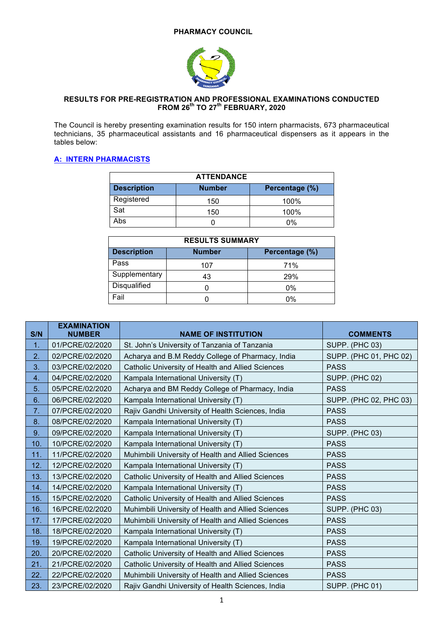

### **RESULTS FOR PRE-REGISTRATION AND PROFESSIONAL EXAMINATIONS CONDUCTED FROM 26th TO 27th FEBRUARY, 2020**

The Council is hereby presenting examination results for 150 intern pharmacists, 673 pharmaceutical technicians, 35 pharmaceutical assistants and 16 pharmaceutical dispensers as it appears in the tables below:

## **A: INTERN PHARMACISTS**

| <b>ATTENDANCE</b>  |               |                |  |  |
|--------------------|---------------|----------------|--|--|
| <b>Description</b> | <b>Number</b> | Percentage (%) |  |  |
| Registered         | 150           | 100%           |  |  |
| Sat                | 150           | 100%           |  |  |
| Abs                |               | 0%             |  |  |

| <b>RESULTS SUMMARY</b> |               |                |  |
|------------------------|---------------|----------------|--|
| <b>Description</b>     | <b>Number</b> | Percentage (%) |  |
| Pass                   | 107           | 71%            |  |
| Supplementary          | 43            | 29%            |  |
| <b>Disqualified</b>    |               | 0%             |  |
| Fail                   |               | 0%             |  |

| S/N | <b>EXAMINATION</b><br><b>NUMBER</b> | <b>NAME OF INSTITUTION</b>                         | <b>COMMENTS</b>        |
|-----|-------------------------------------|----------------------------------------------------|------------------------|
| 1.  | 01/PCRE/02/2020                     | St. John's University of Tanzania of Tanzania      | SUPP. (PHC 03)         |
| 2.  | 02/PCRE/02/2020                     | Acharya and B.M Reddy College of Pharmacy, India   | SUPP. (PHC 01, PHC 02) |
| 3.  | 03/PCRE/02/2020                     | Catholic University of Health and Allied Sciences  | <b>PASS</b>            |
| 4.  | 04/PCRE/02/2020                     | Kampala International University (T)               | <b>SUPP. (PHC 02)</b>  |
| 5.  | 05/PCRE/02/2020                     | Acharya and BM Reddy College of Pharmacy, India    | <b>PASS</b>            |
| 6.  | 06/PCRE/02/2020                     | Kampala International University (T)               | SUPP. (PHC 02, PHC 03) |
| 7.  | 07/PCRE/02/2020                     | Rajiv Gandhi University of Health Sciences, India  | <b>PASS</b>            |
| 8.  | 08/PCRE/02/2020                     | Kampala International University (T)               | <b>PASS</b>            |
| 9.  | 09/PCRE/02/2020                     | Kampala International University (T)               | <b>SUPP. (PHC 03)</b>  |
| 10. | 10/PCRE/02/2020                     | Kampala International University (T)               | <b>PASS</b>            |
| 11. | 11/PCRE/02/2020                     | Muhimbili University of Health and Allied Sciences | <b>PASS</b>            |
| 12. | 12/PCRE/02/2020                     | Kampala International University (T)               | <b>PASS</b>            |
| 13. | 13/PCRE/02/2020                     | Catholic University of Health and Allied Sciences  | <b>PASS</b>            |
| 14. | 14/PCRE/02/2020                     | Kampala International University (T)               | <b>PASS</b>            |
| 15. | 15/PCRE/02/2020                     | Catholic University of Health and Allied Sciences  | <b>PASS</b>            |
| 16. | 16/PCRE/02/2020                     | Muhimbili University of Health and Allied Sciences | SUPP. (PHC 03)         |
| 17. | 17/PCRE/02/2020                     | Muhimbili University of Health and Allied Sciences | <b>PASS</b>            |
| 18. | 18/PCRE/02/2020                     | Kampala International University (T)               | <b>PASS</b>            |
| 19. | 19/PCRE/02/2020                     | Kampala International University (T)               | <b>PASS</b>            |
| 20. | 20/PCRE/02/2020                     | Catholic University of Health and Allied Sciences  | <b>PASS</b>            |
| 21. | 21/PCRE/02/2020                     | Catholic University of Health and Allied Sciences  | <b>PASS</b>            |
| 22. | 22/PCRE/02/2020                     | Muhimbili University of Health and Allied Sciences | <b>PASS</b>            |
| 23. | 23/PCRE/02/2020                     | Rajiv Gandhi University of Health Sciences, India  | <b>SUPP. (PHC 01)</b>  |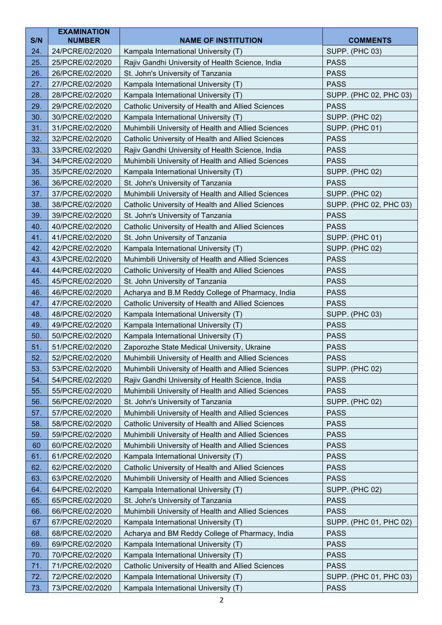| S/N<br><b>NUMBER</b><br><b>NAME OF INSTITUTION</b><br>Kampala International University (T)<br><b>SUPP. (PHC 03)</b><br>24.<br>24/PCRE/02/2020<br>25.<br>25/PCRE/02/2020<br>Rajiv Gandhi University of Health Science, India<br><b>PASS</b> | <b>COMMENTS</b>        |
|--------------------------------------------------------------------------------------------------------------------------------------------------------------------------------------------------------------------------------------------|------------------------|
|                                                                                                                                                                                                                                            |                        |
|                                                                                                                                                                                                                                            |                        |
| 26/PCRE/02/2020                                                                                                                                                                                                                            |                        |
| 26.<br>St. John's University of Tanzania<br><b>PASS</b>                                                                                                                                                                                    |                        |
| 27.<br>27/PCRE/02/2020<br>Kampala International University (T)<br><b>PASS</b><br>Kampala International University (T)<br>28.<br>28/PCRE/02/2020                                                                                            | SUPP. (PHC 02, PHC 03) |
| 29.<br>29/PCRE/02/2020<br>Catholic University of Health and Allied Sciences<br><b>PASS</b>                                                                                                                                                 |                        |
| 30.<br>30/PCRE/02/2020<br>Kampala International University (T)<br><b>SUPP. (PHC 02)</b>                                                                                                                                                    |                        |
| 31.<br>Muhimbili University of Health and Allied Sciences<br>31/PCRE/02/2020<br><b>SUPP. (PHC 01)</b>                                                                                                                                      |                        |
| 32.<br>Catholic University of Health and Allied Sciences<br><b>PASS</b><br>32/PCRE/02/2020                                                                                                                                                 |                        |
| 33.<br>33/PCRE/02/2020<br>Rajiv Gandhi University of Health Science, India<br><b>PASS</b>                                                                                                                                                  |                        |
| 34.<br>34/PCRE/02/2020<br>Muhimbili University of Health and Allied Sciences<br><b>PASS</b>                                                                                                                                                |                        |
| 35.<br>Kampala International University (T)<br>35/PCRE/02/2020<br><b>SUPP. (PHC 02)</b>                                                                                                                                                    |                        |
| 36.<br>St. John's University of Tanzania<br><b>PASS</b><br>36/PCRE/02/2020                                                                                                                                                                 |                        |
| 37.<br>Muhimbili University of Health and Allied Sciences<br><b>SUPP. (PHC 02)</b><br>37/PCRE/02/2020                                                                                                                                      |                        |
| 38.<br>38/PCRE/02/2020<br>Catholic University of Health and Allied Sciences                                                                                                                                                                | SUPP. (PHC 02, PHC 03) |
| 39.<br><b>PASS</b><br>39/PCRE/02/2020<br>St. John's University of Tanzania                                                                                                                                                                 |                        |
| 40.<br>40/PCRE/02/2020<br>Catholic University of Health and Allied Sciences<br><b>PASS</b>                                                                                                                                                 |                        |
| 41.<br>St. John University of Tanzania<br>41/PCRE/02/2020<br><b>SUPP. (PHC 01)</b>                                                                                                                                                         |                        |
| 42.<br>42/PCRE/02/2020<br>Kampala International University (T)<br><b>SUPP. (PHC 02)</b>                                                                                                                                                    |                        |
| 43.<br>43/PCRE/02/2020<br>Muhimbili University of Health and Allied Sciences<br><b>PASS</b>                                                                                                                                                |                        |
| 44.<br>44/PCRE/02/2020<br>Catholic University of Health and Allied Sciences<br><b>PASS</b>                                                                                                                                                 |                        |
| 45.<br>St. John University of Tanzania<br>45/PCRE/02/2020<br><b>PASS</b>                                                                                                                                                                   |                        |
| 46.<br>Acharya and B.M Reddy College of Pharmacy, India<br>46/PCRE/02/2020<br><b>PASS</b>                                                                                                                                                  |                        |
| Catholic University of Health and Allied Sciences<br>47.<br>47/PCRE/02/2020<br><b>PASS</b>                                                                                                                                                 |                        |
| 48.<br>Kampala International University (T)<br>48/PCRE/02/2020<br><b>SUPP. (PHC 03)</b>                                                                                                                                                    |                        |
| 49.<br>49/PCRE/02/2020<br>Kampala International University (T)<br><b>PASS</b>                                                                                                                                                              |                        |
| 50.<br>Kampala International University (T)<br>50/PCRE/02/2020<br><b>PASS</b>                                                                                                                                                              |                        |
| 51.<br>51/PCRE/02/2020<br>Zaporozhe State Medical University, Ukraine<br><b>PASS</b>                                                                                                                                                       |                        |
| 52.<br><b>PASS</b><br>52/PCRE/02/2020<br>Muhimbili University of Health and Allied Sciences                                                                                                                                                |                        |
| 53.<br>Muhimbili University of Health and Allied Sciences<br><b>SUPP. (PHC 02)</b><br>53/PCRE/02/2020                                                                                                                                      |                        |
| 54.<br>54/PCRE/02/2020<br>Rajiv Gandhi University of Health Science, India<br><b>PASS</b>                                                                                                                                                  |                        |
| Muhimbili University of Health and Allied Sciences<br>55.<br>55/PCRE/02/2020<br><b>PASS</b>                                                                                                                                                |                        |
| St. John's University of Tanzania<br><b>SUPP. (PHC 02)</b><br>56.<br>56/PCRE/02/2020                                                                                                                                                       |                        |
| Muhimbili University of Health and Allied Sciences<br><b>PASS</b><br>57.<br>57/PCRE/02/2020                                                                                                                                                |                        |
| 58.<br>58/PCRE/02/2020<br>Catholic University of Health and Allied Sciences<br><b>PASS</b>                                                                                                                                                 |                        |
| 59.<br>Muhimbili University of Health and Allied Sciences<br>59/PCRE/02/2020<br><b>PASS</b>                                                                                                                                                |                        |
| 60<br>Muhimbili University of Health and Allied Sciences<br>60/PCRE/02/2020<br><b>PASS</b>                                                                                                                                                 |                        |
| 61.<br>Kampala International University (T)<br><b>PASS</b><br>61/PCRE/02/2020                                                                                                                                                              |                        |
| 62.<br>62/PCRE/02/2020<br>Catholic University of Health and Allied Sciences<br><b>PASS</b>                                                                                                                                                 |                        |
| 63.<br>63/PCRE/02/2020<br>Muhimbili University of Health and Allied Sciences<br><b>PASS</b>                                                                                                                                                |                        |
| 64/PCRE/02/2020<br>Kampala International University (T)<br>64.<br><b>SUPP. (PHC 02)</b>                                                                                                                                                    |                        |
| St. John's University of Tanzania<br><b>PASS</b><br>65.<br>65/PCRE/02/2020                                                                                                                                                                 |                        |
| 66.<br>66/PCRE/02/2020<br>Muhimbili University of Health and Allied Sciences<br><b>PASS</b>                                                                                                                                                |                        |
| 67<br>67/PCRE/02/2020<br>Kampala International University (T)                                                                                                                                                                              | SUPP. (PHC 01, PHC 02) |
| Acharya and BM Reddy College of Pharmacy, India<br><b>PASS</b><br>68.<br>68/PCRE/02/2020                                                                                                                                                   |                        |
| 69.<br>Kampala International University (T)<br><b>PASS</b><br>69/PCRE/02/2020                                                                                                                                                              |                        |
| 70.<br>Kampala International University (T)<br><b>PASS</b><br>70/PCRE/02/2020<br>71/PCRE/02/2020<br><b>PASS</b>                                                                                                                            |                        |
| 71.<br>Catholic University of Health and Allied Sciences<br>72.<br>72/PCRE/02/2020<br>Kampala International University (T)                                                                                                                 | SUPP. (PHC 01, PHC 03) |
| 73.<br>73/PCRE/02/2020<br>Kampala International University (T)<br><b>PASS</b>                                                                                                                                                              |                        |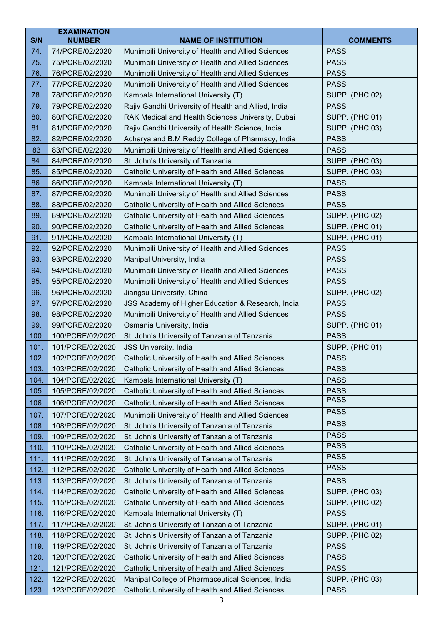|              | <b>EXAMINATION</b>                   |                                                                                                          |                                      |
|--------------|--------------------------------------|----------------------------------------------------------------------------------------------------------|--------------------------------------|
| S/N          | <b>NUMBER</b>                        | <b>NAME OF INSTITUTION</b>                                                                               | <b>COMMENTS</b>                      |
| 74.          | 74/PCRE/02/2020                      | Muhimbili University of Health and Allied Sciences                                                       | <b>PASS</b>                          |
| 75.          | 75/PCRE/02/2020                      | Muhimbili University of Health and Allied Sciences                                                       | <b>PASS</b>                          |
| 76.          | 76/PCRE/02/2020                      | Muhimbili University of Health and Allied Sciences                                                       | <b>PASS</b>                          |
| 77.          | 77/PCRE/02/2020                      | Muhimbili University of Health and Allied Sciences                                                       | <b>PASS</b>                          |
| 78.          | 78/PCRE/02/2020                      | Kampala International University (T)                                                                     | <b>SUPP. (PHC 02)</b>                |
| 79.<br>80.   | 79/PCRE/02/2020<br>80/PCRE/02/2020   | Rajiv Gandhi University of Health and Allied, India<br>RAK Medical and Health Sciences University, Dubai | <b>PASS</b><br><b>SUPP. (PHC 01)</b> |
| 81.          | 81/PCRE/02/2020                      | Rajiv Gandhi University of Health Science, India                                                         | <b>SUPP. (PHC 03)</b>                |
| 82.          | 82/PCRE/02/2020                      | Acharya and B.M Reddy College of Pharmacy, India                                                         | <b>PASS</b>                          |
| 83           | 83/PCRE/02/2020                      | Muhimbili University of Health and Allied Sciences                                                       | <b>PASS</b>                          |
| 84.          | 84/PCRE/02/2020                      | St. John's University of Tanzania                                                                        | <b>SUPP. (PHC 03)</b>                |
| 85.          | 85/PCRE/02/2020                      | Catholic University of Health and Allied Sciences                                                        | <b>SUPP. (PHC 03)</b>                |
| 86.          | 86/PCRE/02/2020                      | Kampala International University (T)                                                                     | <b>PASS</b>                          |
| 87.          | 87/PCRE/02/2020                      | Muhimbili University of Health and Allied Sciences                                                       | <b>PASS</b>                          |
| 88.          | 88/PCRE/02/2020                      | Catholic University of Health and Allied Sciences                                                        | <b>PASS</b>                          |
| 89.          | 89/PCRE/02/2020                      | Catholic University of Health and Allied Sciences                                                        | <b>SUPP. (PHC 02)</b>                |
| 90.          | 90/PCRE/02/2020                      | Catholic University of Health and Allied Sciences                                                        | <b>SUPP. (PHC 01)</b>                |
| 91.          | 91/PCRE/02/2020                      | Kampala International University (T)                                                                     | <b>SUPP. (PHC 01)</b>                |
| 92.          | 92/PCRE/02/2020                      | Muhimbili University of Health and Allied Sciences                                                       | <b>PASS</b>                          |
| 93.          | 93/PCRE/02/2020                      | Manipal University, India                                                                                | <b>PASS</b>                          |
| 94.          | 94/PCRE/02/2020                      | Muhimbili University of Health and Allied Sciences                                                       | <b>PASS</b>                          |
| 95.          | 95/PCRE/02/2020                      | Muhimbili University of Health and Allied Sciences                                                       | <b>PASS</b>                          |
| 96.          | 96/PCRE/02/2020                      | Jiangsu University, China                                                                                | <b>SUPP. (PHC 02)</b>                |
| 97.          | 97/PCRE/02/2020                      | JSS Academy of Higher Education & Research, India                                                        | <b>PASS</b>                          |
| 98.          | 98/PCRE/02/2020                      | Muhimbili University of Health and Allied Sciences                                                       | <b>PASS</b>                          |
| 99.          | 99/PCRE/02/2020                      | Osmania University, India                                                                                | <b>SUPP. (PHC 01)</b>                |
| 100.         | 100/PCRE/02/2020                     | St. John's University of Tanzania of Tanzania                                                            | <b>PASS</b>                          |
| 101.         | 101/PCRE/02/2020                     | JSS University, India                                                                                    | <b>SUPP. (PHC 01)</b>                |
| 102.         | 102/PCRE/02/2020                     | Catholic University of Health and Allied Sciences                                                        | <b>PASS</b>                          |
| 103.         | 103/PCRE/02/2020<br>104/PCRE/02/2020 | Catholic University of Health and Allied Sciences                                                        | <b>PASS</b><br><b>PASS</b>           |
| 104.<br>105. | 105/PCRE/02/2020                     | Kampala International University (T)<br>Catholic University of Health and Allied Sciences                | <b>PASS</b>                          |
| 106.         | 106/PCRE/02/2020                     |                                                                                                          | <b>PASS</b>                          |
|              |                                      | Catholic University of Health and Allied Sciences                                                        | <b>PASS</b>                          |
| 107.<br>108. | 107/PCRE/02/2020<br>108/PCRE/02/2020 | Muhimbili University of Health and Allied Sciences                                                       | <b>PASS</b>                          |
| 109.         | 109/PCRE/02/2020                     | St. John's University of Tanzania of Tanzania<br>St. John's University of Tanzania of Tanzania           | <b>PASS</b>                          |
| 110.         | 110/PCRE/02/2020                     | Catholic University of Health and Allied Sciences                                                        | <b>PASS</b>                          |
| 111.         | 111/PCRE/02/2020                     | St. John's University of Tanzania of Tanzania                                                            | <b>PASS</b>                          |
| 112.         | 112/PCRE/02/2020                     | Catholic University of Health and Allied Sciences                                                        | <b>PASS</b>                          |
| 113.         | 113/PCRE/02/2020                     | St. John's University of Tanzania of Tanzania                                                            | <b>PASS</b>                          |
| 114.         | 114/PCRE/02/2020                     | Catholic University of Health and Allied Sciences                                                        | <b>SUPP. (PHC 03)</b>                |
| 115.         | 115/PCRE/02/2020                     | Catholic University of Health and Allied Sciences                                                        | <b>SUPP. (PHC 02)</b>                |
| 116.         | 116/PCRE/02/2020                     | Kampala International University (T)                                                                     | <b>PASS</b>                          |
| 117.         | 117/PCRE/02/2020                     | St. John's University of Tanzania of Tanzania                                                            | <b>SUPP. (PHC 01)</b>                |
| 118.         | 118/PCRE/02/2020                     | St. John's University of Tanzania of Tanzania                                                            | <b>SUPP. (PHC 02)</b>                |
| 119.         | 119/PCRE/02/2020                     | St. John's University of Tanzania of Tanzania                                                            | <b>PASS</b>                          |
| 120.         | 120/PCRE/02/2020                     | Catholic University of Health and Allied Sciences                                                        | <b>PASS</b>                          |
| 121.         | 121/PCRE/02/2020                     | Catholic University of Health and Allied Sciences                                                        | <b>PASS</b>                          |
| 122.         | 122/PCRE/02/2020                     | Manipal College of Pharmaceutical Sciences, India                                                        | <b>SUPP. (PHC 03)</b>                |
| 123.         | 123/PCRE/02/2020                     | Catholic University of Health and Allied Sciences                                                        | <b>PASS</b>                          |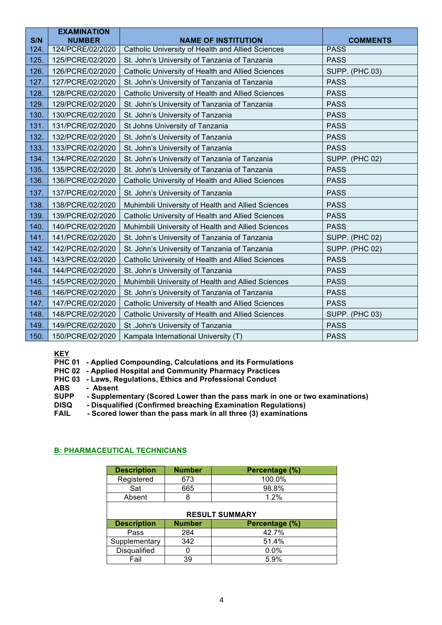| S/N  | <b>EXAMINATION</b><br><b>NUMBER</b> | <b>NAME OF INSTITUTION</b>                         | <b>COMMENTS</b>       |
|------|-------------------------------------|----------------------------------------------------|-----------------------|
| 124. | 124/PCRE/02/2020                    | Catholic University of Health and Allied Sciences  | <b>PASS</b>           |
| 125. | 125/PCRE/02/2020                    | St. John's University of Tanzania of Tanzania      | <b>PASS</b>           |
| 126. | 126/PCRE/02/2020                    | Catholic University of Health and Allied Sciences  | SUPP. (PHC 03)        |
| 127. | 127/PCRE/02/2020                    | St. John's University of Tanzania of Tanzania      | <b>PASS</b>           |
| 128. | 128/PCRE/02/2020                    | Catholic University of Health and Allied Sciences  | <b>PASS</b>           |
| 129. | 129/PCRE/02/2020                    | St. John's University of Tanzania of Tanzania      | <b>PASS</b>           |
| 130. | 130/PCRE/02/2020                    | St. John's University of Tanzania                  | <b>PASS</b>           |
| 131. | 131/PCRE/02/2020                    | St Johns University of Tanzania                    | <b>PASS</b>           |
| 132. | 132/PCRE/02/2020                    | St. John's University of Tanzania                  | <b>PASS</b>           |
| 133. | 133/PCRE/02/2020                    | St. John's University of Tanzania                  | <b>PASS</b>           |
| 134. | 134/PCRE/02/2020                    | St. John's University of Tanzania of Tanzania      | <b>SUPP. (PHC 02)</b> |
| 135. | 135/PCRE/02/2020                    | St. John's University of Tanzania of Tanzania      | <b>PASS</b>           |
| 136. | 136/PCRE/02/2020                    | Catholic University of Health and Allied Sciences  | <b>PASS</b>           |
| 137. | 137/PCRE/02/2020                    | St. John's University of Tanzania                  | <b>PASS</b>           |
| 138. | 138/PCRE/02/2020                    | Muhimbili University of Health and Allied Sciences | <b>PASS</b>           |
| 139. | 139/PCRE/02/2020                    | Catholic University of Health and Allied Sciences  | <b>PASS</b>           |
| 140. | 140/PCRE/02/2020                    | Muhimbili University of Health and Allied Sciences | <b>PASS</b>           |
| 141. | 141/PCRE/02/2020                    | St. John's University of Tanzania of Tanzania      | <b>SUPP. (PHC 02)</b> |
| 142. | 142/PCRE/02/2020                    | St. John's University of Tanzania of Tanzania      | <b>SUPP. (PHC 02)</b> |
| 143. | 143/PCRE/02/2020                    | Catholic University of Health and Allied Sciences  | <b>PASS</b>           |
| 144. | 144/PCRE/02/2020                    | St. John's University of Tanzania                  | <b>PASS</b>           |
| 145. | 145/PCRE/02/2020                    | Muhimbili University of Health and Allied Sciences | <b>PASS</b>           |
| 146. | 146/PCRE/02/2020                    | St. John's University of Tanzania of Tanzania      | <b>PASS</b>           |
| 147. | 147/PCRE/02/2020                    | Catholic University of Health and Allied Sciences  | <b>PASS</b>           |
| 148. | 148/PCRE/02/2020                    | Catholic University of Health and Allied Sciences  | <b>SUPP. (PHC 03)</b> |
| 149. | 149/PCRE/02/2020                    | St .John's University of Tanzania                  | <b>PASS</b>           |
| 150. | 150/PCRE/02/2020                    | Kampala International University (T)               | <b>PASS</b>           |

# **KEY**

**PHC 01 - Applied Compounding, Calculations and its Formulations**

**PHC 02 - Applied Hospital and Community Pharmacy Practices**

**PHC 03 - Laws, Regulations, Ethics and Professional Conduct**

- **ABS Absent**
- **SUPP - Supplementary (Scored Lower than the pass mark in one or two examinations)**
- **DISQ - Disqualified (Confirmed breaching Examination Regulations)**
- **FAIL - Scored lower than the pass mark in all three (3) examinations**

### **B: PHARMACEUTICAL TECHNICIANS**

| <b>Description</b>                                    | <b>Number</b> | Percentage (%) |  |
|-------------------------------------------------------|---------------|----------------|--|
| Registered                                            | 673           | 100.0%         |  |
| Sat                                                   | 98.8%<br>665  |                |  |
| Absent                                                | 1.2%<br>8     |                |  |
| <b>RESULT SUMMARY</b>                                 |               |                |  |
| <b>Number</b><br><b>Description</b><br>Percentage (%) |               |                |  |
| Pass                                                  | 284           | 42.7%          |  |
| Supplementary                                         | 342           | 51.4%          |  |
| <b>Disqualified</b>                                   | O             | 0.0%           |  |
| Fail                                                  | 39            | 5.9%           |  |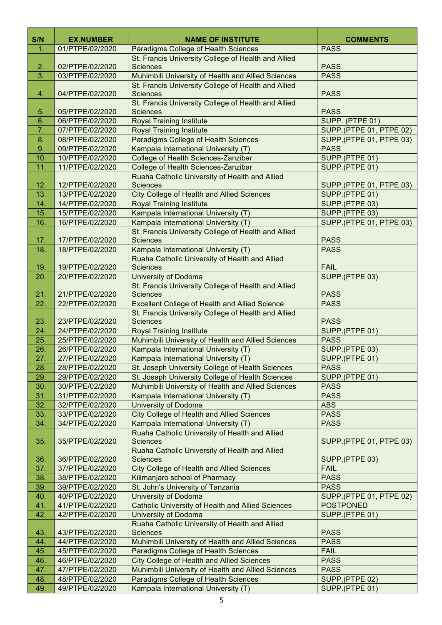| S/N        | <b>EX.NUMBER</b>                   | <b>NAME OF INSTITUTE</b>                                                                                     | <b>COMMENTS</b>                |
|------------|------------------------------------|--------------------------------------------------------------------------------------------------------------|--------------------------------|
| 1.         | 01/PTPE/02/2020                    | Paradigms College of Health Sciences                                                                         | <b>PASS</b>                    |
|            |                                    | St. Francis University College of Health and Allied                                                          |                                |
| 2.         | 02/PTPE/02/2020                    | <b>Sciences</b>                                                                                              | <b>PASS</b>                    |
| 3.         | 03/PTPE/02/2020                    | Muhimbili University of Health and Allied Sciences                                                           | <b>PASS</b>                    |
|            |                                    | St. Francis University College of Health and Allied                                                          |                                |
| 4.         | 04/PTPE/02/2020                    | <b>Sciences</b>                                                                                              | <b>PASS</b>                    |
|            |                                    | St. Francis University College of Health and Allied                                                          |                                |
| 5.         | 05/PTPE/02/2020                    | <b>Sciences</b>                                                                                              | <b>PASS</b>                    |
| 6.         | 06/PTPE/02/2020                    | <b>Royal Training Institute</b>                                                                              | SUPP. (PTPE 01)                |
| 7.         | 07/PTPE/02/2020                    | <b>Royal Training Institute</b>                                                                              | <b>SUPP.(PTPE 01, PTPE 02)</b> |
| 8.         | 08/PTPE/02/2020                    | Paradigms College of Health Sciences                                                                         | SUPP.(PTPE 01, PTPE 03)        |
| 9.         | 09/PTPE/02/2020                    | Kampala International University (T)                                                                         | <b>PASS</b>                    |
| 10.        | 10/PTPE/02/2020                    | College of Health Sciences-Zanzibar                                                                          | SUPP.(PTPE 01)                 |
| 11.        | 11/PTPE/02/2020                    | College of Health Sciences-Zanzibar                                                                          | SUPP.(PTPE 01)                 |
|            |                                    | Ruaha Catholic University of Health and Allied                                                               |                                |
| 12.        | 12/PTPE/02/2020                    | <b>Sciences</b>                                                                                              | SUPP.(PTPE 01, PTPE 03)        |
| 13.        | 13/PTPE/02/2020                    | <b>City College of Health and Allied Sciences</b>                                                            | SUPP.(PTPE 01)                 |
| 14.        | 14/PTPE/02/2020                    | <b>Royal Training Institute</b>                                                                              | SUPP.(PTPE 03)                 |
| 15.        | 15/PTPE/02/2020                    | Kampala International University (T)                                                                         | SUPP.(PTPE 03)                 |
| 16.        | 16/PTPE/02/2020                    | Kampala International University (T)                                                                         | <b>SUPP.(PTPE 01, PTPE 03)</b> |
|            |                                    | St. Francis University College of Health and Allied                                                          |                                |
| 17.        | 17/PTPE/02/2020                    | <b>Sciences</b>                                                                                              | <b>PASS</b>                    |
| 18.        | 18/PTPE/02/2020                    | Kampala International University (T)                                                                         | <b>PASS</b>                    |
|            |                                    | Ruaha Catholic University of Health and Allied                                                               |                                |
| 19.        | 19/PTPE/02/2020                    | <b>Sciences</b>                                                                                              | <b>FAIL</b>                    |
| 20.        | 20/PTPE/02/2020                    | University of Dodoma                                                                                         | SUPP.(PTPE 03)                 |
|            |                                    | St. Francis University College of Health and Allied                                                          | <b>PASS</b>                    |
| 21.<br>22. | 21/PTPE/02/2020<br>22/PTPE/02/2020 | <b>Sciences</b>                                                                                              | <b>PASS</b>                    |
|            |                                    | <b>Excellent College of Health and Allied Science</b><br>St. Francis University College of Health and Allied |                                |
| 23.        | 23/PTPE/02/2020                    | <b>Sciences</b>                                                                                              | <b>PASS</b>                    |
| 24.        | 24/PTPE/02/2020                    | <b>Royal Training Institute</b>                                                                              | SUPP.(PTPE 01)                 |
| 25.        | 25/PTPE/02/2020                    | Muhimbili University of Health and Allied Sciences                                                           | <b>PASS</b>                    |
| 26.        | 26/PTPE/02/2020                    | Kampala International University (T)                                                                         | SUPP.(PTPE 03)                 |
| 27.        | 27/PTPE/02/2020                    | Kampala International University (T)                                                                         | SUPP.(PTPE 01)                 |
| 28.        | 28/PTPE/02/2020                    | St. Joseph University College of Health Sciences                                                             | <b>PASS</b>                    |
| 29.        | 29/PTPE/02/2020                    | St. Joseph University College of Health Sciences                                                             | SUPP.(PTPE 01)                 |
| 30.        | 30/PTPE/02/2020                    | Muhimbili University of Health and Allied Sciences                                                           | <b>PASS</b>                    |
| 31.        | 31/PTPE/02/2020                    | Kampala International University (T)                                                                         | <b>PASS</b>                    |
| 32.        | 32/PTPE/02/2020                    | <b>University of Dodoma</b>                                                                                  | <b>ABS</b>                     |
| 33.        | 33/PTPE/02/2020                    | <b>City College of Health and Allied Sciences</b>                                                            | <b>PASS</b>                    |
| 34.        | 34/PTPE/02/2020                    | Kampala International University (T)                                                                         | <b>PASS</b>                    |
|            |                                    | Ruaha Catholic University of Health and Allied                                                               |                                |
| 35.        | 35/PTPE/02/2020                    | <b>Sciences</b>                                                                                              | SUPP.(PTPE 01, PTPE 03)        |
|            | 36/PTPE/02/2020                    | Ruaha Catholic University of Health and Allied<br><b>Sciences</b>                                            |                                |
| 36.<br>37. | 37/PTPE/02/2020                    | <b>City College of Health and Allied Sciences</b>                                                            | SUPP.(PTPE 03)<br><b>FAIL</b>  |
| 38.        | 38/PTPE/02/2020                    | Kilimanjaro school of Pharmacy                                                                               | <b>PASS</b>                    |
| 39.        | 39/PTPE/02/2020                    | St. John's University of Tanzania                                                                            | <b>PASS</b>                    |
| 40.        | 40/PTPE/02/2020                    | University of Dodoma                                                                                         | SUPP.(PTPE 01, PTPE 02)        |
| 41.        | 41/PTPE/02/2020                    | <b>Catholic University of Health and Allied Sciences</b>                                                     | <b>POSTPONED</b>               |
| 42.        | 42/PTPE/02/2020                    | <b>University of Dodoma</b>                                                                                  | SUPP.(PTPE 01)                 |
|            |                                    | Ruaha Catholic University of Health and Allied                                                               |                                |
| 43.        | 43/PTPE/02/2020                    | <b>Sciences</b>                                                                                              | <b>PASS</b>                    |
| 44.        | 44/PTPE/02/2020                    | Muhimbili University of Health and Allied Sciences                                                           | <b>PASS</b>                    |
| 45.        | 45/PTPE/02/2020                    | Paradigms College of Health Sciences                                                                         | <b>FAIL</b>                    |
| 46.        | 46/PTPE/02/2020                    | <b>City College of Health and Allied Sciences</b>                                                            | <b>PASS</b>                    |
| 47.        | 47/PTPE/02/2020                    | Muhimbili University of Health and Allied Sciences                                                           | <b>PASS</b>                    |
| 48.        | 48/PTPE/02/2020                    | Paradigms College of Health Sciences                                                                         | SUPP.(PTPE 02)                 |
| 49.        | 49/PTPE/02/2020                    | Kampala International University (T)                                                                         | SUPP.(PTPE 01)                 |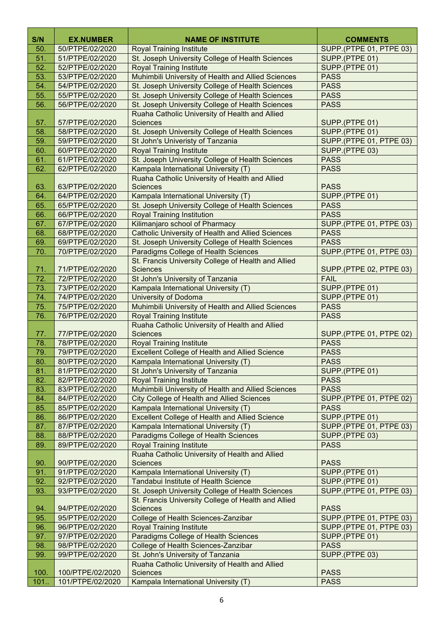| S/N        | <b>EX.NUMBER</b>                   | <b>NAME OF INSTITUTE</b>                                                                                | <b>COMMENTS</b>                           |
|------------|------------------------------------|---------------------------------------------------------------------------------------------------------|-------------------------------------------|
| 50.        | 50/PTPE/02/2020                    | <b>Royal Training Institute</b>                                                                         | SUPP.(PTPE 01, PTPE 03)                   |
| 51.        | 51/PTPE/02/2020                    | St. Joseph University College of Health Sciences                                                        | SUPP.(PTPE 01)                            |
| 52.        | 52/PTPE/02/2020                    | <b>Royal Training Institute</b>                                                                         | SUPP.(PTPE 01)                            |
| 53.        | 53/PTPE/02/2020                    | Muhimbili University of Health and Allied Sciences                                                      | <b>PASS</b>                               |
| 54.        | 54/PTPE/02/2020                    | St. Joseph University College of Health Sciences                                                        | <b>PASS</b>                               |
| 55.        | 55/PTPE/02/2020                    | St. Joseph University College of Health Sciences                                                        | <b>PASS</b>                               |
| 56.        | 56/PTPE/02/2020                    | St. Joseph University College of Health Sciences                                                        | <b>PASS</b>                               |
|            |                                    | Ruaha Catholic University of Health and Allied                                                          |                                           |
| 57.        | 57/PTPE/02/2020                    | <b>Sciences</b>                                                                                         | SUPP.(PTPE 01)                            |
| 58.        | 58/PTPE/02/2020                    | St. Joseph University College of Health Sciences                                                        | SUPP.(PTPE 01)                            |
| 59.        | 59/PTPE/02/2020                    | St John's Univeristy of Tanzania                                                                        | SUPP.(PTPE 01, PTPE 03)                   |
| 60.        | 60/PTPE/02/2020                    | <b>Royal Training Institute</b>                                                                         | SUPP.(PTPE 03)                            |
| 61.        | 61/PTPE/02/2020                    | St. Joseph University College of Health Sciences                                                        | <b>PASS</b>                               |
| 62.        | 62/PTPE/02/2020                    | Kampala International University (T)                                                                    | <b>PASS</b>                               |
|            |                                    | Ruaha Catholic University of Health and Allied                                                          |                                           |
| 63.        | 63/PTPE/02/2020                    | <b>Sciences</b>                                                                                         | <b>PASS</b>                               |
| 64.        | 64/PTPE/02/2020                    | Kampala International University (T)                                                                    | SUPP.(PTPE 01)                            |
| 65.        | 65/PTPE/02/2020                    | St. Joseph University College of Health Sciences                                                        | <b>PASS</b>                               |
| 66.        | 66/PTPE/02/2020                    | <b>Royal Training Institution</b>                                                                       | <b>PASS</b>                               |
| 67.        | 67/PTPE/02/2020                    | Kilimanjaro school of Pharmacy                                                                          | SUPP.(PTPE 01, PTPE 03)                   |
| 68.        | 68/PTPE/02/2020                    | <b>Catholic University of Health and Allied Sciences</b>                                                | <b>PASS</b>                               |
| 69.        | 69/PTPE/02/2020                    | St. Joseph University College of Health Sciences                                                        | <b>PASS</b>                               |
| 70.        | 70/PTPE/02/2020                    | Paradigms College of Health Sciences                                                                    | SUPP.(PTPE 01, PTPE 03)                   |
|            |                                    | St. Francis University College of Health and Allied                                                     |                                           |
| 71.        | 71/PTPE/02/2020                    | <b>Sciences</b>                                                                                         | SUPP.(PTPE 02, PTPE 03)                   |
| 72.        | 72/PTPE/02/2020                    | St John's University of Tanzania                                                                        | <b>FAIL</b>                               |
| 73.        | 73/PTPE/02/2020                    | Kampala International University (T)                                                                    | SUPP.(PTPE 01)                            |
| 74.        | 74/PTPE/02/2020                    | <b>University of Dodoma</b>                                                                             | SUPP.(PTPE 01)                            |
| 75.        | 75/PTPE/02/2020                    | Muhimbili University of Health and Allied Sciences                                                      | <b>PASS</b>                               |
| 76.        | 76/PTPE/02/2020                    | <b>Royal Training Institute</b>                                                                         | <b>PASS</b>                               |
|            |                                    | Ruaha Catholic University of Health and Allied                                                          |                                           |
| 77.        | 77/PTPE/02/2020                    | <b>Sciences</b>                                                                                         | SUPP.(PTPE 01, PTPE 02)                   |
| 78.        | 78/PTPE/02/2020                    | <b>Royal Training Institute</b>                                                                         | <b>PASS</b>                               |
| 79.        | 79/PTPE/02/2020                    | <b>Excellent College of Health and Allied Science</b>                                                   | <b>PASS</b>                               |
| 80.        | 80/PTPE/02/2020                    | Kampala International University (T)<br>St John's University of Tanzania                                | <b>PASS</b>                               |
| 81.        | 81/PTPE/02/2020                    | <b>Royal Training Institute</b>                                                                         | SUPP.(PTPE 01)<br><b>PASS</b>             |
| 82.        | 82/PTPE/02/2020                    |                                                                                                         |                                           |
| 83.        | 83/PTPE/02/2020<br>84/PTPE/02/2020 | Muhimbili University of Health and Allied Sciences<br><b>City College of Health and Allied Sciences</b> | <b>PASS</b><br>SUPP.(PTPE 01, PTPE 02)    |
| 84.<br>85. | 85/PTPE/02/2020                    | Kampala International University (T)                                                                    | <b>PASS</b>                               |
| 86.        | 86/PTPE/02/2020                    | <b>Excellent College of Health and Allied Science</b>                                                   | SUPP.(PTPE 01)                            |
|            |                                    | Kampala International University (T)                                                                    |                                           |
| 87.<br>88. | 87/PTPE/02/2020<br>88/PTPE/02/2020 | Paradigms College of Health Sciences                                                                    | SUPP.(PTPE 01, PTPE 03)<br>SUPP.(PTPE 03) |
| 89.        | 89/PTPE/02/2020                    | <b>Royal Training Institute</b>                                                                         | <b>PASS</b>                               |
|            |                                    | Ruaha Catholic University of Health and Allied                                                          |                                           |
| 90.        | 90/PTPE/02/2020                    | <b>Sciences</b>                                                                                         | <b>PASS</b>                               |
| 91.        | 91/PTPE/02/2020                    | Kampala International University (T)                                                                    | SUPP.(PTPE 01)                            |
| 92.        | 92/PTPE/02/2020                    | Tandabui Institute of Health Science                                                                    | SUPP.(PTPE 01)                            |
| 93.        | 93/PTPE/02/2020                    | St. Joseph University College of Health Sciences                                                        | SUPP.(PTPE 01, PTPE 03)                   |
|            |                                    | St. Francis University College of Health and Allied                                                     |                                           |
| 94.        | 94/PTPE/02/2020                    | <b>Sciences</b>                                                                                         | <b>PASS</b>                               |
| 95.        | 95/PTPE/02/2020                    | College of Health Sciences-Zanzibar                                                                     | SUPP.(PTPE 01, PTPE 03)                   |
| 96.        | 96/PTPE/02/2020                    | <b>Royal Training Institute</b>                                                                         | SUPP.(PTPE 01, PTPE 03)                   |
| 97.        | 97/PTPE/02/2020                    | Paradigms College of Health Sciences                                                                    | SUPP.(PTPE 01)                            |
| 98.        | 98/PTPE/02/2020                    | College of Health Sciences-Zanzibar                                                                     | <b>PASS</b>                               |
| 99.        | 99/PTPE/02/2020                    | St. John's University of Tanzania                                                                       | SUPP.(PTPE 03)                            |
|            |                                    | Ruaha Catholic University of Health and Allied                                                          |                                           |
| 100.       | 100/PTPE/02/2020                   | <b>Sciences</b>                                                                                         | <b>PASS</b>                               |
| 101.       | 101/PTPE/02/2020                   | Kampala International University (T)                                                                    | <b>PASS</b>                               |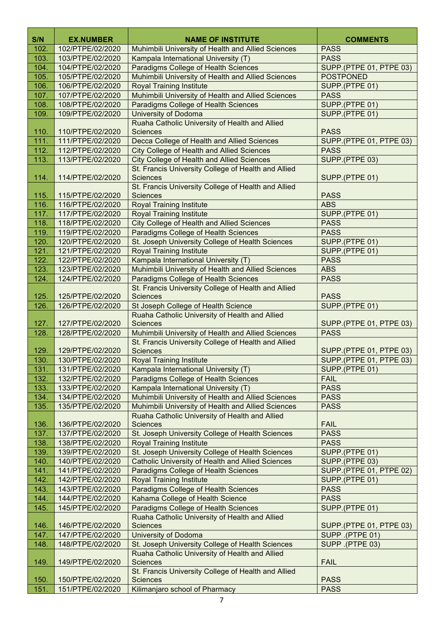| S/N<br>102.  | <b>EX.NUMBER</b><br>102/PTPE/02/2020 | <b>NAME OF INSTITUTE</b>                                                                   | <b>COMMENTS</b><br><b>PASS</b> |
|--------------|--------------------------------------|--------------------------------------------------------------------------------------------|--------------------------------|
| 103.         | 103/PTPE/02/2020                     | Muhimbili University of Health and Allied Sciences<br>Kampala International University (T) | <b>PASS</b>                    |
| 104.         | 104/PTPE/02/2020                     | Paradigms College of Health Sciences                                                       | SUPP.(PTPE 01, PTPE 03)        |
| 105.         | 105/PTPE/02/2020                     | Muhimbili University of Health and Allied Sciences                                         | <b>POSTPONED</b>               |
| 106.         | 106/PTPE/02/2020                     | <b>Royal Training Institute</b>                                                            | SUPP.(PTPE 01)                 |
| 107.         | 107/PTPE/02/2020                     | Muhimbili University of Health and Allied Sciences                                         | <b>PASS</b>                    |
| 108.         | 108/PTPE/02/2020                     | Paradigms College of Health Sciences                                                       | SUPP.(PTPE 01)                 |
| 109.         | 109/PTPE/02/2020                     | <b>University of Dodoma</b>                                                                | SUPP.(PTPE 01)                 |
|              |                                      | Ruaha Catholic University of Health and Allied                                             |                                |
| 110.         | 110/PTPE/02/2020                     | <b>Sciences</b>                                                                            | <b>PASS</b>                    |
| 111.         | 111/PTPE/02/2020                     | Decca College of Health and Allied Sciences                                                | <b>SUPP.(PTPE 01, PTPE 03)</b> |
| 112.         | 112/PTPE/02/2020                     | <b>City College of Health and Allied Sciences</b>                                          | <b>PASS</b>                    |
| 113.         | 113/PTPE/02/2020                     | <b>City College of Health and Allied Sciences</b>                                          | SUPP.(PTPE 03)                 |
|              |                                      | St. Francis University College of Health and Allied                                        |                                |
| 114.         | 114/PTPE/02/2020                     | <b>Sciences</b>                                                                            | SUPP.(PTPE 01)                 |
|              |                                      | St. Francis University College of Health and Allied                                        |                                |
| 115.         | 115/PTPE/02/2020                     | <b>Sciences</b>                                                                            | <b>PASS</b>                    |
| 116.         | 116/PTPE/02/2020                     | <b>Royal Training Institute</b>                                                            | <b>ABS</b>                     |
| 117.         | 117/PTPE/02/2020                     | <b>Royal Training Institute</b>                                                            | SUPP.(PTPE 01)                 |
| 118.         | 118/PTPE/02/2020                     | <b>City College of Health and Allied Sciences</b>                                          | <b>PASS</b>                    |
| 119.         | 119/PTPE/02/2020                     | Paradigms College of Health Sciences                                                       | <b>PASS</b>                    |
| 120.         | 120/PTPE/02/2020                     | St. Joseph University College of Health Sciences                                           | SUPP.(PTPE 01)                 |
| 121.         | 121/PTPE/02/2020                     | <b>Royal Training Institute</b>                                                            | SUPP.(PTPE 01)                 |
| 122.         | 122/PTPE/02/2020                     | Kampala International University (T)                                                       | <b>PASS</b>                    |
| 123.         | 123/PTPE/02/2020                     | Muhimbili University of Health and Allied Sciences                                         | <b>ABS</b>                     |
| 124.         | 124/PTPE/02/2020                     | Paradigms College of Health Sciences                                                       | <b>PASS</b>                    |
|              |                                      | St. Francis University College of Health and Allied                                        |                                |
| 125.<br>126. | 125/PTPE/02/2020<br>126/PTPE/02/2020 | <b>Sciences</b><br>St Joseph College of Health Science                                     | <b>PASS</b><br>SUPP.(PTPE 01)  |
|              |                                      | Ruaha Catholic University of Health and Allied                                             |                                |
| 127.         | 127/PTPE/02/2020                     | <b>Sciences</b>                                                                            | SUPP.(PTPE 01, PTPE 03)        |
| 128.         | 128/PTPE/02/2020                     | Muhimbili University of Health and Allied Sciences                                         | <b>PASS</b>                    |
|              |                                      | St. Francis University College of Health and Allied                                        |                                |
| 129.         | 129/PTPE/02/2020                     | <b>Sciences</b>                                                                            | SUPP.(PTPE 01, PTPE 03)        |
| 130.         | 130/PTPE/02/2020                     | Royal Training Institute                                                                   | SUPP. (PTPE 01, PTPE 03)       |
| 131.         | 131/PTPE/02/2020                     | Kampala International University (T)                                                       | SUPP.(PTPE 01)                 |
| 132.         | 132/PTPE/02/2020                     | Paradigms College of Health Sciences                                                       | <b>FAIL</b>                    |
| 133.         | 133/PTPE/02/2020                     | Kampala International University (T)                                                       | <b>PASS</b>                    |
| 134.         | 134/PTPE/02/2020                     | Muhimbili University of Health and Allied Sciences                                         | <b>PASS</b>                    |
| 135.         | 135/PTPE/02/2020                     | Muhimbili University of Health and Allied Sciences                                         | <b>PASS</b>                    |
|              |                                      | Ruaha Catholic University of Health and Allied                                             |                                |
| 136.         | 136/PTPE/02/2020                     | <b>Sciences</b>                                                                            | <b>FAIL</b>                    |
| 137.         | 137/PTPE/02/2020                     | St. Joseph University College of Health Sciences                                           | <b>PASS</b>                    |
| 138.         | 138/PTPE/02/2020                     | <b>Royal Training Institute</b>                                                            | <b>PASS</b>                    |
| 139.         | 139/PTPE/02/2020                     | St. Joseph University College of Health Sciences                                           | SUPP.(PTPE 01)                 |
| 140.         | 140/PTPE/02/2020                     | <b>Catholic University of Health and Allied Sciences</b>                                   | SUPP.(PTPE 03)                 |
| 141.         | 141/PTPE/02/2020<br>142/PTPE/02/2020 | Paradigms College of Health Sciences<br><b>Royal Training Institute</b>                    | <b>SUPP.(PTPE 01, PTPE 02)</b> |
| 142.<br>143. | 143/PTPE/02/2020                     | Paradigms College of Health Sciences                                                       | SUPP.(PTPE 01)<br><b>PASS</b>  |
| 144.         | 144/PTPE/02/2020                     | Kahama College of Health Science                                                           | <b>PASS</b>                    |
| 145.         | 145/PTPE/02/2020                     | Paradigms College of Health Sciences                                                       | SUPP.(PTPE 01)                 |
|              |                                      | Ruaha Catholic University of Health and Allied                                             |                                |
| 146.         | 146/PTPE/02/2020                     | <b>Sciences</b>                                                                            | SUPP.(PTPE 01, PTPE 03)        |
| 147.         | 147/PTPE/02/2020                     | University of Dodoma                                                                       | SUPP .(PTPE 01)                |
| 148.         | 148/PTPE/02/2020                     | St. Joseph University College of Health Sciences                                           | SUPP .(PTPE 03)                |
|              |                                      | Ruaha Catholic University of Health and Allied                                             |                                |
| 149.         | 149/PTPE/02/2020                     | <b>Sciences</b>                                                                            | <b>FAIL</b>                    |
|              |                                      | St. Francis University College of Health and Allied                                        |                                |
| 150.         | 150/PTPE/02/2020                     | <b>Sciences</b>                                                                            | <b>PASS</b>                    |
| 151.         | 151/PTPE/02/2020                     | Kilimanjaro school of Pharmacy                                                             | <b>PASS</b>                    |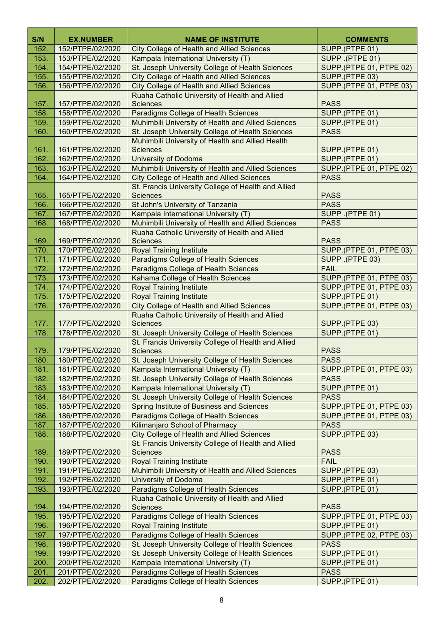| S/N          | <b>EX.NUMBER</b>                     | <b>NAME OF INSTITUTE</b>                                                                 | <b>COMMENTS</b>                 |
|--------------|--------------------------------------|------------------------------------------------------------------------------------------|---------------------------------|
| 152.         | 152/PTPE/02/2020                     | <b>City College of Health and Allied Sciences</b>                                        | SUPP.(PTPE 01)                  |
| 153.         | 153/PTPE/02/2020                     | Kampala International University (T)                                                     | SUPP .(PTPE 01)                 |
| 154.         | 154/PTPE/02/2020                     | St. Joseph University College of Health Sciences                                         | <b>SUPP.</b> (PTPE 01, PTPE 02) |
| 155.         | 155/PTPE/02/2020                     | <b>City College of Health and Allied Sciences</b>                                        | SUPP.(PTPE 03)                  |
| 156.         | 156/PTPE/02/2020                     | <b>City College of Health and Allied Sciences</b>                                        | SUPP.(PTPE 01, PTPE 03)         |
|              |                                      | Ruaha Catholic University of Health and Allied                                           |                                 |
| 157.         | 157/PTPE/02/2020                     | <b>Sciences</b>                                                                          | <b>PASS</b>                     |
| 158.         | 158/PTPE/02/2020                     | <b>Paradigms College of Health Sciences</b>                                              | SUPP.(PTPE 01)                  |
| 159.         | 159/PTPE/02/2020                     | Muhimbili University of Health and Allied Sciences                                       | SUPP.(PTPE 01)                  |
| 160.         | 160/PTPE/02/2020                     | St. Joseph University College of Health Sciences                                         | <b>PASS</b>                     |
|              |                                      | Muhimbili University of Health and Allied Health                                         |                                 |
| 161.         | 161/PTPE/02/2020                     | <b>Sciences</b>                                                                          | SUPP.(PTPE 01)                  |
| 162.         | 162/PTPE/02/2020                     | <b>University of Dodoma</b>                                                              | SUPP.(PTPE 01)                  |
| 163.         | 163/PTPE/02/2020                     | Muhimbili University of Health and Allied Sciences                                       | <b>SUPP.(PTPE 01, PTPE 02)</b>  |
| 164.         | 164/PTPE/02/2020                     | <b>City College of Health and Allied Sciences</b>                                        | <b>PASS</b>                     |
|              | 165/PTPE/02/2020                     | St. Francis University College of Health and Allied                                      |                                 |
| 165.         | 166/PTPE/02/2020                     | <b>Sciences</b><br>St John's University of Tanzania                                      | <b>PASS</b><br><b>PASS</b>      |
| 166.<br>167. | 167/PTPE/02/2020                     | Kampala International University (T)                                                     | SUPP .(PTPE 01)                 |
| 168.         | 168/PTPE/02/2020                     | Muhimbili University of Health and Allied Sciences                                       | <b>PASS</b>                     |
|              |                                      | Ruaha Catholic University of Health and Allied                                           |                                 |
| 169.         | 169/PTPE/02/2020                     | <b>Sciences</b>                                                                          | <b>PASS</b>                     |
| 170.         | 170/PTPE/02/2020                     | <b>Royal Training Institute</b>                                                          | SUPP.(PTPE 01, PTPE 03)         |
| 171.         | 171/PTPE/02/2020                     | Paradigms College of Health Sciences                                                     | SUPP .(PTPE 03)                 |
| 172.         | 172/PTPE/02/2020                     | Paradigms College of Health Sciences                                                     | <b>FAIL</b>                     |
| 173.         | 173/PTPE/02/2020                     | Kahama College of Health Sciences                                                        | SUPP.(PTPE 01, PTPE 03)         |
| 174.         | 174/PTPE/02/2020                     | <b>Royal Training Institute</b>                                                          | SUPP.(PTPE 01, PTPE 03)         |
| 175.         | 175/PTPE/02/2020                     | <b>Royal Training Institute</b>                                                          | SUPP.(PTPE 01)                  |
| 176.         | 176/PTPE/02/2020                     | <b>City College of Health and Allied Sciences</b>                                        | SUPP.(PTPE 01, PTPE 03)         |
|              |                                      | Ruaha Catholic University of Health and Allied                                           |                                 |
| 177.         | 177/PTPE/02/2020                     | <b>Sciences</b>                                                                          | SUPP.(PTPE 03)                  |
| 178.         | 178/PTPE/02/2020                     | St. Joseph University College of Health Sciences                                         | SUPP.(PTPE 01)                  |
|              |                                      | St. Francis University College of Health and Allied                                      |                                 |
| 179.         | 179/PTPE/02/2020                     | <b>Sciences</b>                                                                          | <b>PASS</b>                     |
| 180.         | 180/PTPE/02/2020                     | St. Joseph University College of Health Sciences                                         | <b>PASS</b>                     |
| 181.         | 181/PTPE/02/2020                     | Kampala International University (T)                                                     | SUPP.(PTPE 01, PTPE 03)         |
| 182.<br>183. | 182/PTPE/02/2020                     | St. Joseph University College of Health Sciences<br>Kampala International University (T) | <b>PASS</b><br>SUPP.(PTPE 01)   |
| 184.         | 183/PTPE/02/2020<br>184/PTPE/02/2020 | St. Joseph University College of Health Sciences                                         | <b>PASS</b>                     |
| 185.         | 185/PTPE/02/2020                     | Spring Institute of Business and Sciences                                                | SUPP.(PTPE 01, PTPE 03)         |
| 186.         | 186/PTPE/02/2020                     | Paradigms College of Health Sciences                                                     | SUPP.(PTPE 01, PTPE 03)         |
| 187.         | 187/PTPE/02/2020                     | Kilimanjaro School of Pharmacy                                                           | <b>PASS</b>                     |
| 188.         | 188/PTPE/02/2020                     | <b>City College of Health and Allied Sciences</b>                                        | SUPP.(PTPE 03)                  |
|              |                                      | St. Francis University College of Health and Allied                                      |                                 |
| 189.         | 189/PTPE/02/2020                     | <b>Sciences</b>                                                                          | <b>PASS</b>                     |
| 190.         | 190/PTPE/02/2020                     | <b>Royal Training Institute</b>                                                          | <b>FAIL</b>                     |
| 191.         | 191/PTPE/02/2020                     | Muhimbili University of Health and Allied Sciences                                       | SUPP.(PTPE 03)                  |
| 192.         | 192/PTPE/02/2020                     | University of Dodoma                                                                     | SUPP.(PTPE 01)                  |
| 193.         | 193/PTPE/02/2020                     | Paradigms College of Health Sciences                                                     | SUPP.(PTPE 01)                  |
|              |                                      | Ruaha Catholic University of Health and Allied                                           |                                 |
| 194.         | 194/PTPE/02/2020                     | <b>Sciences</b>                                                                          | <b>PASS</b>                     |
| 195.         | 195/PTPE/02/2020                     | Paradigms College of Health Sciences                                                     | SUPP.(PTPE 01, PTPE 03)         |
| 196.         | 196/PTPE/02/2020                     | <b>Royal Training Institute</b>                                                          | SUPP.(PTPE 01)                  |
| 197.         | 197/PTPE/02/2020                     | Paradigms College of Health Sciences                                                     | SUPP.(PTPE 02, PTPE 03)         |
| 198.         | 198/PTPE/02/2020                     | St. Joseph University College of Health Sciences                                         | <b>PASS</b>                     |
| 199.         | 199/PTPE/02/2020                     | St. Joseph University College of Health Sciences                                         | SUPP.(PTPE 01)                  |
| 200.         | 200/PTPE/02/2020                     | Kampala International University (T)                                                     | SUPP.(PTPE 01)                  |
| 201.         | 201/PTPE/02/2020                     | Paradigms College of Health Sciences                                                     | <b>PASS</b>                     |
| 202.         | 202/PTPE/02/2020                     | Paradigms College of Health Sciences                                                     | SUPP.(PTPE 01)                  |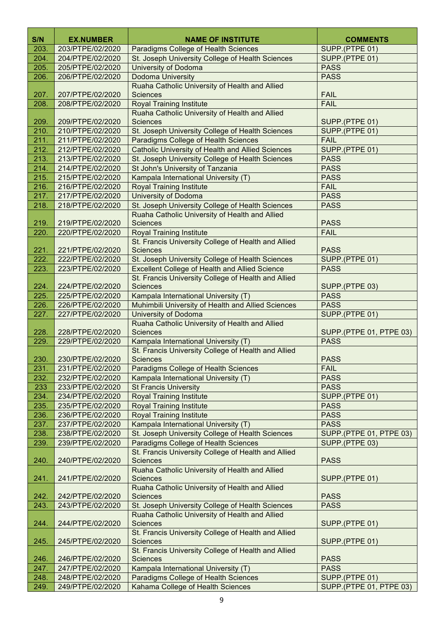| S/N          | <b>EX.NUMBER</b>                     | <b>NAME OF INSTITUTE</b>                                                                                     | <b>COMMENTS</b>                |
|--------------|--------------------------------------|--------------------------------------------------------------------------------------------------------------|--------------------------------|
| 203.         | 203/PTPE/02/2020                     | Paradigms College of Health Sciences                                                                         | SUPP.(PTPE 01)                 |
| 204.         | 204/PTPE/02/2020                     | St. Joseph University College of Health Sciences                                                             | SUPP.(PTPE 01)                 |
| 205.         | 205/PTPE/02/2020                     | <b>University of Dodoma</b>                                                                                  | <b>PASS</b>                    |
| 206.         | 206/PTPE/02/2020                     | Dodoma University                                                                                            | <b>PASS</b>                    |
|              |                                      | Ruaha Catholic University of Health and Allied                                                               |                                |
| 207.         | 207/PTPE/02/2020                     | <b>Sciences</b>                                                                                              | <b>FAIL</b>                    |
| 208.         | 208/PTPE/02/2020                     | <b>Royal Training Institute</b>                                                                              | <b>FAIL</b>                    |
|              |                                      | Ruaha Catholic University of Health and Allied                                                               |                                |
| 209.         | 209/PTPE/02/2020                     | <b>Sciences</b>                                                                                              | SUPP.(PTPE 01)                 |
| 210.         | 210/PTPE/02/2020                     | St. Joseph University College of Health Sciences                                                             | SUPP.(PTPE 01)                 |
| 211.         | 211/PTPE/02/2020                     | Paradigms College of Health Sciences                                                                         | <b>FAIL</b>                    |
| 212.         | 212/PTPE/02/2020                     | <b>Catholic University of Health and Allied Sciences</b>                                                     | SUPP.(PTPE 01)                 |
| 213.         | 213/PTPE/02/2020                     | St. Joseph University College of Health Sciences                                                             | <b>PASS</b>                    |
| 214.         | 214/PTPE/02/2020                     | St John's University of Tanzania                                                                             | <b>PASS</b>                    |
| 215.         | 215/PTPE/02/2020                     | Kampala International University (T)                                                                         | <b>PASS</b>                    |
| 216.         | 216/PTPE/02/2020                     | <b>Royal Training Institute</b>                                                                              | <b>FAIL</b>                    |
| 217.         | 217/PTPE/02/2020                     | <b>University of Dodoma</b>                                                                                  | <b>PASS</b>                    |
| 218.         | 218/PTPE/02/2020                     | St. Joseph University College of Health Sciences                                                             | <b>PASS</b>                    |
|              |                                      | Ruaha Catholic University of Health and Allied                                                               |                                |
| 219.         | 219/PTPE/02/2020                     | <b>Sciences</b>                                                                                              | <b>PASS</b>                    |
| 220.         | 220/PTPE/02/2020                     | <b>Royal Training Institute</b>                                                                              | <b>FAIL</b>                    |
|              |                                      | St. Francis University College of Health and Allied                                                          |                                |
| 221.         | 221/PTPE/02/2020                     | <b>Sciences</b>                                                                                              | <b>PASS</b>                    |
| 222.         | 222/PTPE/02/2020                     | St. Joseph University College of Health Sciences                                                             | SUPP.(PTPE 01)                 |
| 223.         | 223/PTPE/02/2020                     | <b>Excellent College of Health and Allied Science</b><br>St. Francis University College of Health and Allied | <b>PASS</b>                    |
| 224.         | 224/PTPE/02/2020                     | <b>Sciences</b>                                                                                              | SUPP.(PTPE 03)                 |
| 225.         | 225/PTPE/02/2020                     | Kampala International University (T)                                                                         | <b>PASS</b>                    |
| 226.         | 226/PTPE/02/2020                     | Muhimbili University of Health and Allied Sciences                                                           | <b>PASS</b>                    |
| 227.         | 227/PTPE/02/2020                     | <b>University of Dodoma</b>                                                                                  | SUPP.(PTPE 01)                 |
|              |                                      | Ruaha Catholic University of Health and Allied                                                               |                                |
| 228.         | 228/PTPE/02/2020                     | <b>Sciences</b>                                                                                              | SUPP.(PTPE 01, PTPE 03)        |
| 229.         | 229/PTPE/02/2020                     | Kampala International University (T)                                                                         | <b>PASS</b>                    |
|              |                                      | St. Francis University College of Health and Allied                                                          |                                |
| 230.         | 230/PTPE/02/2020                     | <b>Sciences</b>                                                                                              | <b>PASS</b>                    |
| 231.         | 231/PTPE/02/2020                     | Paradigms College of Health Sciences                                                                         | <b>FAIL</b>                    |
| 232.         | 232/PTPE/02/2020                     | Kampala International University (T)                                                                         | <b>PASS</b>                    |
| 233          | 233/PTPE/02/2020                     | <b>St Francis University</b>                                                                                 | <b>PASS</b>                    |
| 234.         | 234/PTPE/02/2020                     | <b>Royal Training Institute</b>                                                                              | SUPP.(PTPE 01)                 |
| 235.<br>236. | 235/PTPE/02/2020<br>236/PTPE/02/2020 | <b>Royal Training Institute</b><br><b>Royal Training Institute</b>                                           | <b>PASS</b><br><b>PASS</b>     |
| 237.         | 237/PTPE/02/2020                     | Kampala International University (T)                                                                         | <b>PASS</b>                    |
| 238.         | 238/PTPE/02/2020                     | St. Joseph University College of Health Sciences                                                             | SUPP.(PTPE 01, PTPE 03)        |
| 239.         | 239/PTPE/02/2020                     | Paradigms College of Health Sciences                                                                         | SUPP.(PTPE 03)                 |
|              |                                      | St. Francis University College of Health and Allied                                                          |                                |
| 240.         | 240/PTPE/02/2020                     | <b>Sciences</b>                                                                                              | <b>PASS</b>                    |
|              |                                      | Ruaha Catholic University of Health and Allied                                                               |                                |
| 241.         | 241/PTPE/02/2020                     | <b>Sciences</b>                                                                                              | SUPP.(PTPE 01)                 |
|              |                                      | Ruaha Catholic University of Health and Allied                                                               |                                |
| 242.         | 242/PTPE/02/2020                     | <b>Sciences</b>                                                                                              | <b>PASS</b>                    |
| 243.         | 243/PTPE/02/2020                     | St. Joseph University College of Health Sciences                                                             | <b>PASS</b>                    |
|              |                                      | Ruaha Catholic University of Health and Allied                                                               |                                |
| 244.         | 244/PTPE/02/2020                     | <b>Sciences</b>                                                                                              | SUPP.(PTPE 01)                 |
| 245.         | 245/PTPE/02/2020                     | St. Francis University College of Health and Allied<br><b>Sciences</b>                                       | SUPP.(PTPE 01)                 |
|              |                                      | St. Francis University College of Health and Allied                                                          |                                |
| 246.         | 246/PTPE/02/2020                     | <b>Sciences</b>                                                                                              | <b>PASS</b>                    |
| 247.         | 247/PTPE/02/2020                     | Kampala International University (T)                                                                         | <b>PASS</b>                    |
| 248.         | 248/PTPE/02/2020                     | Paradigms College of Health Sciences                                                                         | SUPP.(PTPE 01)                 |
| 249.         | 249/PTPE/02/2020                     | Kahama College of Health Sciences                                                                            | <b>SUPP.(PTPE 01, PTPE 03)</b> |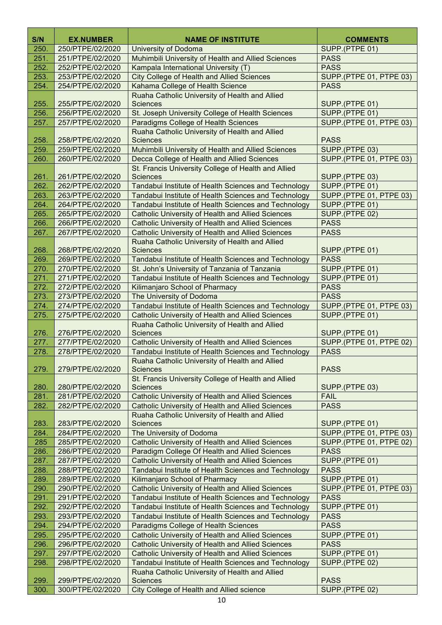| S/N          | <b>EX.NUMBER</b> | <b>NAME OF INSTITUTE</b>                                                                                         | <b>COMMENTS</b>                                  |
|--------------|------------------|------------------------------------------------------------------------------------------------------------------|--------------------------------------------------|
| 250.         | 250/PTPE/02/2020 | University of Dodoma                                                                                             | SUPP.(PTPE 01)                                   |
| 251.         | 251/PTPE/02/2020 | Muhimbili University of Health and Allied Sciences                                                               | <b>PASS</b>                                      |
| 252.         | 252/PTPE/02/2020 | Kampala International University (T)                                                                             | <b>PASS</b>                                      |
| 253.         | 253/PTPE/02/2020 | <b>City College of Health and Allied Sciences</b>                                                                | SUPP.(PTPE 01, PTPE 03)                          |
| 254.         | 254/PTPE/02/2020 | Kahama College of Health Science                                                                                 | <b>PASS</b>                                      |
|              |                  | Ruaha Catholic University of Health and Allied                                                                   |                                                  |
| 255.         | 255/PTPE/02/2020 | <b>Sciences</b>                                                                                                  | SUPP.(PTPE 01)                                   |
| 256.         | 256/PTPE/02/2020 | St. Joseph University College of Health Sciences                                                                 | SUPP.(PTPE 01)                                   |
| 257.         | 257/PTPE/02/2020 | Paradigms College of Health Sciences                                                                             | <b>SUPP.</b> (PTPE 01, PTPE 03)                  |
|              |                  | Ruaha Catholic University of Health and Allied                                                                   |                                                  |
| 258.         | 258/PTPE/02/2020 | <b>Sciences</b>                                                                                                  | <b>PASS</b>                                      |
| 259.         | 259/PTPE/02/2020 | Muhimbili University of Health and Allied Sciences                                                               | SUPP.(PTPE 03)                                   |
| 260.         | 260/PTPE/02/2020 | Decca College of Health and Allied Sciences                                                                      | <b>SUPP.(PTPE 01, PTPE 03)</b>                   |
|              |                  | St. Francis University College of Health and Allied                                                              |                                                  |
| 261.         | 261/PTPE/02/2020 | <b>Sciences</b>                                                                                                  | SUPP.(PTPE 03)                                   |
| 262.         | 262/PTPE/02/2020 | Tandabui Institute of Health Sciences and Technology                                                             | SUPP.(PTPE 01)                                   |
| 263.         | 263/PTPE/02/2020 | Tandabui Institute of Health Sciences and Technology                                                             | SUPP.(PTPE 01, PTPE 03)                          |
| 264.         | 264/PTPE/02/2020 | Tandabui Institute of Health Sciences and Technology                                                             | SUPP.(PTPE 01)                                   |
| 265.         | 265/PTPE/02/2020 | <b>Catholic University of Health and Allied Sciences</b>                                                         | SUPP.(PTPE 02)                                   |
| 266.         | 266/PTPE/02/2020 | <b>Catholic University of Health and Allied Sciences</b>                                                         | <b>PASS</b>                                      |
| 267.         | 267/PTPE/02/2020 | <b>Catholic University of Health and Allied Sciences</b>                                                         | <b>PASS</b>                                      |
|              |                  | Ruaha Catholic University of Health and Allied                                                                   |                                                  |
| 268.         | 268/PTPE/02/2020 | <b>Sciences</b>                                                                                                  | SUPP.(PTPE 01)                                   |
| 269.         | 269/PTPE/02/2020 | Tandabui Institute of Health Sciences and Technology                                                             | <b>PASS</b>                                      |
| 270.         | 270/PTPE/02/2020 | St. John's University of Tanzania of Tanzania                                                                    | SUPP.(PTPE 01)                                   |
| 271.         | 271/PTPE/02/2020 | Tandabui Institute of Health Sciences and Technology                                                             | SUPP.(PTPE 01)                                   |
| 272.         | 272/PTPE/02/2020 | Kilimanjaro School of Pharmacy                                                                                   | <b>PASS</b>                                      |
| 273.         | 273/PTPE/02/2020 | The University of Dodoma                                                                                         | <b>PASS</b>                                      |
| 274.         | 274/PTPE/02/2020 | Tandabui Institute of Health Sciences and Technology                                                             | <b>SUPP.(PTPE 01, PTPE 03)</b>                   |
| 275.         | 275/PTPE/02/2020 | <b>Catholic University of Health and Allied Sciences</b>                                                         | SUPP.(PTPE 01)                                   |
|              | 276/PTPE/02/2020 | Ruaha Catholic University of Health and Allied<br><b>Sciences</b>                                                |                                                  |
| 276.<br>277. | 277/PTPE/02/2020 |                                                                                                                  | SUPP.(PTPE 01)<br><b>SUPP.(PTPE 01, PTPE 02)</b> |
| 278.         | 278/PTPE/02/2020 | <b>Catholic University of Health and Allied Sciences</b><br>Tandabui Institute of Health Sciences and Technology | <b>PASS</b>                                      |
|              |                  | Ruaha Catholic University of Health and Allied                                                                   |                                                  |
| 279.         | 279/PTPE/02/2020 | <b>Sciences</b>                                                                                                  | <b>PASS</b>                                      |
|              |                  | St. Francis University College of Health and Allied                                                              |                                                  |
| 280.         | 280/PTPE/02/2020 | <b>Sciences</b>                                                                                                  | SUPP.(PTPE 03)                                   |
| 281.         | 281/PTPE/02/2020 | <b>Catholic University of Health and Allied Sciences</b>                                                         | <b>FAIL</b>                                      |
| 282.         | 282/PTPE/02/2020 | <b>Catholic University of Health and Allied Sciences</b>                                                         | <b>PASS</b>                                      |
|              |                  | Ruaha Catholic University of Health and Allied                                                                   |                                                  |
| 283.         | 283/PTPE/02/2020 | <b>Sciences</b>                                                                                                  | SUPP.(PTPE 01)                                   |
| 284.         | 284/PTPE/02/2020 | The University of Dodoma                                                                                         | <b>SUPP.(PTPE 01, PTPE 03)</b>                   |
| 285          | 285/PTPE/02/2020 | <b>Catholic University of Health and Allied Sciences</b>                                                         | <b>SUPP.(PTPE 01, PTPE 02)</b>                   |
| 286.         | 286/PTPE/02/2020 | Paradigm College Of Health and Allied Sciences                                                                   | <b>PASS</b>                                      |
| 287.         | 287/PTPE/02/2020 | <b>Catholic University of Health and Allied Sciences</b>                                                         | SUPP.(PTPE 01)                                   |
| 288.         | 288/PTPE/02/2020 | Tandabui Institute of Health Sciences and Technology                                                             | <b>PASS</b>                                      |
| 289.         | 289/PTPE/02/2020 | Kilimanjaro School of Pharmacy                                                                                   | SUPP.(PTPE 01)                                   |
| 290.         | 290/PTPE/02/2020 | <b>Catholic University of Health and Allied Sciences</b>                                                         | <b>SUPP.(PTPE 01, PTPE 03)</b>                   |
| 291.         | 291/PTPE/02/2020 | Tandabui Institute of Health Sciences and Technology                                                             | <b>PASS</b>                                      |
| 292.         | 292/PTPE/02/2020 | Tandabui Institute of Health Sciences and Technology                                                             | SUPP.(PTPE 01)                                   |
| 293.         | 293/PTPE/02/2020 | Tandabui Institute of Health Sciences and Technology                                                             | <b>PASS</b>                                      |
| 294.         | 294/PTPE/02/2020 | Paradigms College of Health Sciences                                                                             | <b>PASS</b>                                      |
| 295.         | 295/PTPE/02/2020 | <b>Catholic University of Health and Allied Sciences</b>                                                         | SUPP.(PTPE 01)                                   |
| 296.         | 296/PTPE/02/2020 | <b>Catholic University of Health and Allied Sciences</b>                                                         | <b>PASS</b>                                      |
| 297.         | 297/PTPE/02/2020 | <b>Catholic University of Health and Allied Sciences</b>                                                         | SUPP.(PTPE 01)                                   |
| 298.         | 298/PTPE/02/2020 | Tandabui Institute of Health Sciences and Technology                                                             | SUPP.(PTPE 02)                                   |
|              |                  | Ruaha Catholic University of Health and Allied                                                                   |                                                  |
| 299.         | 299/PTPE/02/2020 | <b>Sciences</b>                                                                                                  | <b>PASS</b>                                      |
| 300.         | 300/PTPE/02/2020 | City College of Health and Allied science                                                                        | SUPP.(PTPE 02)                                   |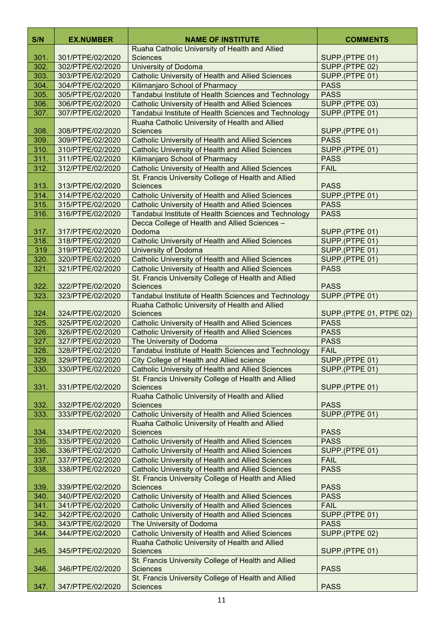| S/N  | <b>EX.NUMBER</b> | <b>NAME OF INSTITUTE</b>                                                                                        | <b>COMMENTS</b>         |
|------|------------------|-----------------------------------------------------------------------------------------------------------------|-------------------------|
|      |                  | Ruaha Catholic University of Health and Allied                                                                  |                         |
| 301. | 301/PTPE/02/2020 | <b>Sciences</b>                                                                                                 | SUPP.(PTPE 01)          |
| 302. | 302/PTPE/02/2020 | University of Dodoma                                                                                            | SUPP.(PTPE 02)          |
| 303. | 303/PTPE/02/2020 | <b>Catholic University of Health and Allied Sciences</b>                                                        | SUPP.(PTPE 01)          |
| 304. | 304/PTPE/02/2020 | Kilimanjaro School of Pharmacy                                                                                  | <b>PASS</b>             |
| 305. | 305/PTPE/02/2020 | Tandabui Institute of Health Sciences and Technology                                                            | <b>PASS</b>             |
| 306. | 306/PTPE/02/2020 | <b>Catholic University of Health and Allied Sciences</b>                                                        | SUPP.(PTPE 03)          |
| 307. | 307/PTPE/02/2020 | Tandabui Institute of Health Sciences and Technology<br>Ruaha Catholic University of Health and Allied          | SUPP.(PTPE 01)          |
| 308. | 308/PTPE/02/2020 | <b>Sciences</b>                                                                                                 | SUPP.(PTPE 01)          |
| 309. | 309/PTPE/02/2020 | <b>Catholic University of Health and Allied Sciences</b>                                                        | <b>PASS</b>             |
| 310. | 310/PTPE/02/2020 | <b>Catholic University of Health and Allied Sciences</b>                                                        | SUPP.(PTPE 01)          |
| 311. | 311/PTPE/02/2020 | Kilimanjaro School of Pharmacy                                                                                  | <b>PASS</b>             |
| 312. | 312/PTPE/02/2020 | <b>Catholic University of Health and Allied Sciences</b>                                                        | <b>FAIL</b>             |
|      |                  | St. Francis University College of Health and Allied                                                             |                         |
| 313. | 313/PTPE/02/2020 | <b>Sciences</b>                                                                                                 | <b>PASS</b>             |
| 314. | 314/PTPE/02/2020 | <b>Catholic University of Health and Allied Sciences</b>                                                        | SUPP.(PTPE 01)          |
| 315. | 315/PTPE/02/2020 | <b>Catholic University of Health and Allied Sciences</b>                                                        | <b>PASS</b>             |
| 316. | 316/PTPE/02/2020 | Tandabui Institute of Health Sciences and Technology                                                            | <b>PASS</b>             |
|      |                  | Decca College of Health and Allied Sciences -                                                                   |                         |
| 317. | 317/PTPE/02/2020 | Dodoma                                                                                                          | SUPP.(PTPE 01)          |
| 318. | 318/PTPE/02/2020 | <b>Catholic University of Health and Allied Sciences</b>                                                        | SUPP.(PTPE 01)          |
| 319  | 319/PTPE/02/2020 | University of Dodoma                                                                                            | SUPP.(PTPE 01)          |
| 320. | 320/PTPE/02/2020 | <b>Catholic University of Health and Allied Sciences</b>                                                        | SUPP.(PTPE 01)          |
| 321. | 321/PTPE/02/2020 | <b>Catholic University of Health and Allied Sciences</b><br>St. Francis University College of Health and Allied | <b>PASS</b>             |
| 322. | 322/PTPE/02/2020 | <b>Sciences</b>                                                                                                 | <b>PASS</b>             |
| 323. | 323/PTPE/02/2020 | Tandabui Institute of Health Sciences and Technology                                                            | SUPP.(PTPE 01)          |
|      |                  | Ruaha Catholic University of Health and Allied                                                                  |                         |
| 324. | 324/PTPE/02/2020 | <b>Sciences</b>                                                                                                 | SUPP.(PTPE 01, PTPE 02) |
| 325. | 325/PTPE/02/2020 | <b>Catholic University of Health and Allied Sciences</b>                                                        | <b>PASS</b>             |
| 326. | 326/PTPE/02/2020 | <b>Catholic University of Health and Allied Sciences</b>                                                        | <b>PASS</b>             |
| 327. | 327/PTPE/02/2020 | The University of Dodoma                                                                                        | <b>PASS</b>             |
| 328. | 328/PTPE/02/2020 | Tandabui Institute of Health Sciences and Technology                                                            | <b>FAIL</b>             |
| 329. | 329/PTPE/02/2020 | City College of Health and Allied science                                                                       | SUPP.(PTPE 01)          |
| 330. | 330/PTPE/02/2020 | <b>Catholic University of Health and Allied Sciences</b>                                                        | SUPP.(PTPE 01)          |
|      |                  | St. Francis University College of Health and Allied                                                             |                         |
| 331. | 331/PTPE/02/2020 | <b>Sciences</b>                                                                                                 | SUPP.(PTPE 01)          |
| 332. | 332/PTPE/02/2020 | Ruaha Catholic University of Health and Allied<br><b>Sciences</b>                                               | <b>PASS</b>             |
| 333. | 333/PTPE/02/2020 | <b>Catholic University of Health and Allied Sciences</b>                                                        | SUPP.(PTPE 01)          |
|      |                  | Ruaha Catholic University of Health and Allied                                                                  |                         |
| 334. | 334/PTPE/02/2020 | <b>Sciences</b>                                                                                                 | <b>PASS</b>             |
| 335. | 335/PTPE/02/2020 | <b>Catholic University of Health and Allied Sciences</b>                                                        | <b>PASS</b>             |
| 336. | 336/PTPE/02/2020 | <b>Catholic University of Health and Allied Sciences</b>                                                        | SUPP.(PTPE 01)          |
| 337. | 337/PTPE/02/2020 | <b>Catholic University of Health and Allied Sciences</b>                                                        | <b>FAIL</b>             |
| 338. | 338/PTPE/02/2020 | <b>Catholic University of Health and Allied Sciences</b>                                                        | <b>PASS</b>             |
|      |                  | St. Francis University College of Health and Allied                                                             |                         |
| 339. | 339/PTPE/02/2020 | <b>Sciences</b>                                                                                                 | <b>PASS</b>             |
| 340. | 340/PTPE/02/2020 | <b>Catholic University of Health and Allied Sciences</b>                                                        | <b>PASS</b>             |
| 341. | 341/PTPE/02/2020 | <b>Catholic University of Health and Allied Sciences</b>                                                        | <b>FAIL</b>             |
| 342. | 342/PTPE/02/2020 | <b>Catholic University of Health and Allied Sciences</b>                                                        | SUPP.(PTPE 01)          |
| 343. | 343/PTPE/02/2020 | The University of Dodoma                                                                                        | <b>PASS</b>             |
| 344. | 344/PTPE/02/2020 | <b>Catholic University of Health and Allied Sciences</b>                                                        | SUPP.(PTPE 02)          |
| 345. | 345/PTPE/02/2020 | Ruaha Catholic University of Health and Allied<br><b>Sciences</b>                                               | SUPP.(PTPE 01)          |
|      |                  | St. Francis University College of Health and Allied                                                             |                         |
| 346. | 346/PTPE/02/2020 | <b>Sciences</b>                                                                                                 | <b>PASS</b>             |
|      |                  | St. Francis University College of Health and Allied                                                             |                         |
| 347. | 347/PTPE/02/2020 | <b>Sciences</b>                                                                                                 | <b>PASS</b>             |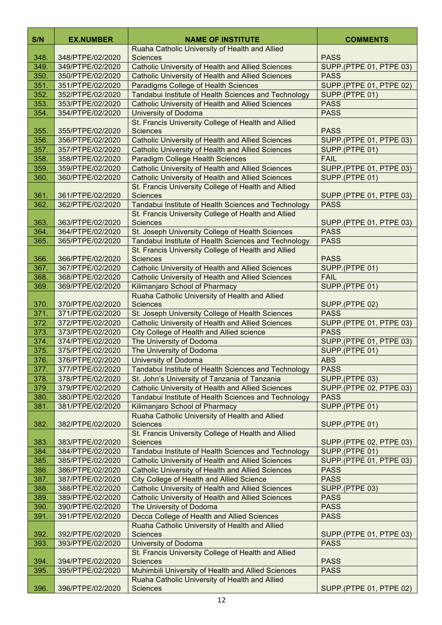| S/N          | <b>EX.NUMBER</b>                     | <b>NAME OF INSTITUTE</b>                                                                   | <b>COMMENTS</b>                        |
|--------------|--------------------------------------|--------------------------------------------------------------------------------------------|----------------------------------------|
|              |                                      | Ruaha Catholic University of Health and Allied                                             |                                        |
| 348.         | 348/PTPE/02/2020                     | <b>Sciences</b>                                                                            | <b>PASS</b>                            |
| 349.         | 349/PTPE/02/2020                     | <b>Catholic University of Health and Allied Sciences</b>                                   | <b>SUPP.(PTPE 01, PTPE 03)</b>         |
| 350.         | 350/PTPE/02/2020                     | <b>Catholic University of Health and Allied Sciences</b>                                   | <b>PASS</b>                            |
| 351.         | 351/PTPE/02/2020                     | <b>Paradigms College of Health Sciences</b>                                                | <b>SUPP.(PTPE 01, PTPE 02)</b>         |
| 352.         | 352/PTPE/02/2020                     | Tandabui Institute of Health Sciences and Technology                                       | SUPP.(PTPE 01)                         |
| 353.         | 353/PTPE/02/2020                     | <b>Catholic University of Health and Allied Sciences</b>                                   | <b>PASS</b>                            |
| 354.         | 354/PTPE/02/2020                     | University of Dodoma                                                                       | <b>PASS</b>                            |
|              |                                      | St. Francis University College of Health and Allied                                        | <b>PASS</b>                            |
| 355.<br>356. | 355/PTPE/02/2020<br>356/PTPE/02/2020 | <b>Sciences</b><br><b>Catholic University of Health and Allied Sciences</b>                | SUPP.(PTPE 01, PTPE 03)                |
| 357.         | 357/PTPE/02/2020                     | <b>Catholic University of Health and Allied Sciences</b>                                   | SUPP.(PTPE 01)                         |
| 358.         | 358/PTPE/02/2020                     | Paradigm College Health Sciences                                                           | <b>FAIL</b>                            |
| 359.         | 359/PTPE/02/2020                     | <b>Catholic University of Health and Allied Sciences</b>                                   | SUPP.(PTPE 01, PTPE 03)                |
| 360.         | 360/PTPE/02/2020                     | <b>Catholic University of Health and Allied Sciences</b>                                   | SUPP.(PTPE 01)                         |
|              |                                      | St. Francis University College of Health and Allied                                        |                                        |
| 361.         | 361/PTPE/02/2020                     | <b>Sciences</b>                                                                            | SUPP.(PTPE 01, PTPE 03)                |
| 362.         | 362/PTPE/02/2020                     | Tandabui Institute of Health Sciences and Technology                                       | <b>PASS</b>                            |
|              |                                      | St. Francis University College of Health and Allied                                        |                                        |
| 363.         | 363/PTPE/02/2020                     | <b>Sciences</b>                                                                            | <b>SUPP (PTPE 01, PTPE 03)</b>         |
| 364.         | 364/PTPE/02/2020                     | St. Joseph University College of Health Sciences                                           | <b>PASS</b>                            |
| 365.         | 365/PTPE/02/2020                     | Tandabui Institute of Health Sciences and Technology                                       | <b>PASS</b>                            |
|              |                                      | St. Francis University College of Health and Allied                                        |                                        |
| 366.         | 366/PTPE/02/2020                     | <b>Sciences</b>                                                                            | <b>PASS</b>                            |
| 367.         | 367/PTPE/02/2020                     | <b>Catholic University of Health and Allied Sciences</b>                                   | SUPP.(PTPE 01)<br><b>FAIL</b>          |
| 368.<br>369. | 368/PTPE/02/2020<br>369/PTPE/02/2020 | <b>Catholic University of Health and Allied Sciences</b><br>Kilimanjaro School of Pharmacy | SUPP.(PTPE 01)                         |
|              |                                      | Ruaha Catholic University of Health and Allied                                             |                                        |
| 370.         | 370/PTPE/02/2020                     | <b>Sciences</b>                                                                            | SUPP.(PTPE 02)                         |
| 371.         | 371/PTPE/02/2020                     | St. Joseph University College of Health Sciences                                           | <b>PASS</b>                            |
| 372.         | 372/PTPE/02/2020                     | <b>Catholic University of Health and Allied Sciences</b>                                   | <b>SUPP.(PTPE 01, PTPE 03)</b>         |
| 373.         | 373/PTPE/02/2020                     | <b>City College of Health and Allied science</b>                                           | <b>PASS</b>                            |
| 374.         | 374/PTPE/02/2020                     | The University of Dodoma                                                                   | SUPP.(PTPE 01, PTPE 03)                |
| 375.         | 375/PTPE/02/2020                     | The University of Dodoma                                                                   | SUPP.(PTPE 01)                         |
| 376.         | 376/PTPE/02/2020                     | <b>University of Dodoma</b>                                                                | <b>ABS</b>                             |
| 377.         | 377/PTPE/02/2020                     | Tandabui Institute of Health Sciences and Technology                                       | <b>PASS</b>                            |
| 378.         | 378/PTPE/02/2020                     | St. John's University of Tanzania of Tanzania                                              | SUPP.(PTPE 03)                         |
| 379.         | 379/PTPE/02/2020                     | <b>Catholic University of Health and Allied Sciences</b>                                   | <b>SUPP.(PTPE 02, PTPE 03)</b>         |
| 380.         | 380/PTPE/02/2020                     | Tandabui Institute of Health Sciences and Technology                                       | <b>PASS</b>                            |
| 381.         | 381/PTPE/02/2020                     | Kilimanjaro School of Pharmacy                                                             | SUPP.(PTPE 01)                         |
| 382.         | 382/PTPE/02/2020                     | Ruaha Catholic University of Health and Allied<br><b>Sciences</b>                          | SUPP.(PTPE 01)                         |
|              |                                      | St. Francis University College of Health and Allied                                        |                                        |
| 383.         | 383/PTPE/02/2020                     | <b>Sciences</b>                                                                            | SUPP.(PTPE 02, PTPE 03)                |
| 384.         | 384/PTPE/02/2020                     | Tandabui Institute of Health Sciences and Technology                                       | SUPP.(PTPE 01)                         |
| 385.         | 385/PTPE/02/2020                     | <b>Catholic University of Health and Allied Sciences</b>                                   | SUPP.(PTPE 01, PTPE 03)                |
| 386.         | 386/PTPE/02/2020                     | <b>Catholic University of Health and Allied Sciences</b>                                   | <b>PASS</b>                            |
| 387.         | 387/PTPE/02/2020                     | City College of Health and Allied Science                                                  | <b>PASS</b>                            |
| 388.         | 388/PTPE/02/2020                     | <b>Catholic University of Health and Allied Sciences</b>                                   | SUPP.(PTPE 03)                         |
| 389.         | 389/PTPE/02/2020                     | <b>Catholic University of Health and Allied Sciences</b>                                   | <b>PASS</b>                            |
| 390.         | 390/PTPE/02/2020                     | The University of Dodoma                                                                   | <b>PASS</b>                            |
| 391.         | 391/PTPE/02/2020                     | Decca College of Health and Allied Sciences                                                | <b>PASS</b>                            |
|              |                                      | Ruaha Catholic University of Health and Allied                                             |                                        |
| 392.<br>393. | 392/PTPE/02/2020<br>393/PTPE/02/2020 | <b>Sciences</b><br><b>University of Dodoma</b>                                             | SUPP.(PTPE 01, PTPE 03)<br><b>PASS</b> |
|              |                                      | St. Francis University College of Health and Allied                                        |                                        |
| 394.         | 394/PTPE/02/2020                     | <b>Sciences</b>                                                                            | <b>PASS</b>                            |
| 395.         | 395/PTPE/02/2020                     | Muhimbili University of Health and Allied Sciences                                         | <b>PASS</b>                            |
|              |                                      | Ruaha Catholic University of Health and Allied                                             |                                        |
| 396.         | 396/PTPE/02/2020                     | <b>Sciences</b>                                                                            | SUPP.(PTPE 01, PTPE 02)                |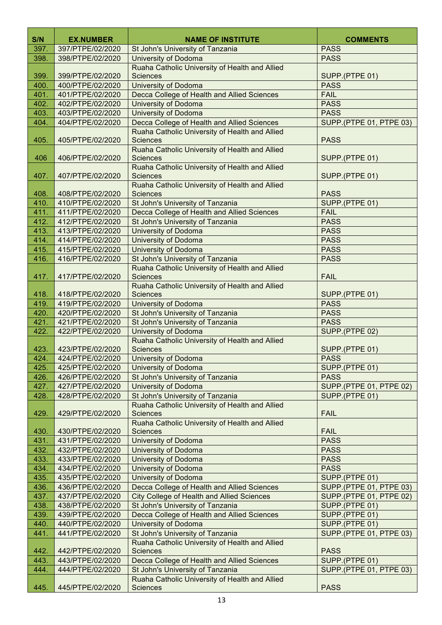| S/N          | <b>EX.NUMBER</b>                     | <b>NAME OF INSTITUTE</b>                                          | <b>COMMENTS</b>                           |
|--------------|--------------------------------------|-------------------------------------------------------------------|-------------------------------------------|
| 397.         | 397/PTPE/02/2020                     | St John's University of Tanzania                                  | <b>PASS</b>                               |
| 398.         | 398/PTPE/02/2020                     | <b>University of Dodoma</b>                                       | <b>PASS</b>                               |
|              |                                      | Ruaha Catholic University of Health and Allied                    |                                           |
| 399.         | 399/PTPE/02/2020                     | <b>Sciences</b>                                                   | SUPP.(PTPE 01)                            |
| 400.         | 400/PTPE/02/2020                     | <b>University of Dodoma</b>                                       | <b>PASS</b>                               |
| 401.         | 401/PTPE/02/2020                     | Decca College of Health and Allied Sciences                       | <b>FAIL</b>                               |
| 402.         | 402/PTPE/02/2020                     | <b>University of Dodoma</b>                                       | <b>PASS</b>                               |
| 403.         | 403/PTPE/02/2020                     | <b>University of Dodoma</b>                                       | <b>PASS</b>                               |
| 404.         | 404/PTPE/02/2020                     | Decca College of Health and Allied Sciences                       | SUPP.(PTPE 01, PTPE 03)                   |
|              |                                      | Ruaha Catholic University of Health and Allied                    |                                           |
| 405.         | 405/PTPE/02/2020                     | <b>Sciences</b>                                                   | <b>PASS</b>                               |
| 406          | 406/PTPE/02/2020                     | Ruaha Catholic University of Health and Allied<br><b>Sciences</b> | SUPP.(PTPE 01)                            |
|              |                                      | Ruaha Catholic University of Health and Allied                    |                                           |
| 407.         | 407/PTPE/02/2020                     | <b>Sciences</b>                                                   | SUPP.(PTPE 01)                            |
|              |                                      | Ruaha Catholic University of Health and Allied                    |                                           |
| 408.         | 408/PTPE/02/2020                     | <b>Sciences</b>                                                   | <b>PASS</b>                               |
| 410.         | 410/PTPE/02/2020                     | St John's University of Tanzania                                  | SUPP.(PTPE 01)                            |
| 411.         | 411/PTPE/02/2020                     | Decca College of Health and Allied Sciences                       | <b>FAIL</b>                               |
| 412.         | 412/PTPE/02/2020                     | St John's University of Tanzania                                  | <b>PASS</b>                               |
| 413.         | 413/PTPE/02/2020                     | <b>University of Dodoma</b>                                       | <b>PASS</b>                               |
| 414.         | 414/PTPE/02/2020                     | University of Dodoma                                              | <b>PASS</b>                               |
| 415.         | 415/PTPE/02/2020                     | University of Dodoma                                              | <b>PASS</b>                               |
| 416.         | 416/PTPE/02/2020                     | St John's University of Tanzania                                  | <b>PASS</b>                               |
| 417.         | 417/PTPE/02/2020                     | Ruaha Catholic University of Health and Allied<br><b>Sciences</b> | <b>FAIL</b>                               |
|              |                                      | Ruaha Catholic University of Health and Allied                    |                                           |
| 418.         | 418/PTPE/02/2020                     | <b>Sciences</b>                                                   | SUPP.(PTPE 01)                            |
| 419.         | 419/PTPE/02/2020                     | <b>University of Dodoma</b>                                       | <b>PASS</b>                               |
| 420.         | 420/PTPE/02/2020                     | St John's University of Tanzania                                  | <b>PASS</b>                               |
| 421.         | 421/PTPE/02/2020                     | St John's University of Tanzania                                  | <b>PASS</b>                               |
| 422.         | 422/PTPE/02/2020                     | <b>University of Dodoma</b>                                       | SUPP.(PTPE 02)                            |
|              |                                      | Ruaha Catholic University of Health and Allied                    |                                           |
| 423.         | 423/PTPE/02/2020                     | <b>Sciences</b>                                                   | SUPP.(PTPE 01)                            |
| 424.         | 424/PTPE/02/2020                     | University of Dodoma                                              | <b>PASS</b>                               |
| 425.         | 425/PTPE/02/2020                     | University of Dodoma                                              | SUPP.(PTPE 01)                            |
| 426.         | 426/PTPE/02/2020                     | St John's University of Tanzania                                  | <b>PASS</b>                               |
| 427.<br>428. | 427/PTPE/02/2020<br>428/PTPE/02/2020 | <b>University of Dodoma</b><br>St John's University of Tanzania   | SUPP.(PTPE 01, PTPE 02)<br>SUPP.(PTPE 01) |
|              |                                      | Ruaha Catholic University of Health and Allied                    |                                           |
| 429.         | 429/PTPE/02/2020                     | <b>Sciences</b>                                                   | <b>FAIL</b>                               |
|              |                                      | Ruaha Catholic University of Health and Allied                    |                                           |
| 430.         | 430/PTPE/02/2020                     | <b>Sciences</b>                                                   | <b>FAIL</b>                               |
| 431.         | 431/PTPE/02/2020                     | <b>University of Dodoma</b>                                       | <b>PASS</b>                               |
| 432.         | 432/PTPE/02/2020                     | University of Dodoma                                              | <b>PASS</b>                               |
| 433.         | 433/PTPE/02/2020                     | University of Dodoma                                              | <b>PASS</b>                               |
| 434.         | 434/PTPE/02/2020                     | <b>University of Dodoma</b>                                       | <b>PASS</b>                               |
| 435.         | 435/PTPE/02/2020                     | University of Dodoma                                              | SUPP.(PTPE 01)                            |
| 436.         | 436/PTPE/02/2020                     | Decca College of Health and Allied Sciences                       | SUPP.(PTPE 01, PTPE 03)                   |
| 437.         | 437/PTPE/02/2020                     | <b>City College of Health and Allied Sciences</b>                 | SUPP.(PTPE 01, PTPE 02)                   |
| 438.         | 438/PTPE/02/2020                     | St John's University of Tanzania                                  | SUPP.(PTPE 01)                            |
| 439.         | 439/PTPE/02/2020                     | Decca College of Health and Allied Sciences                       | SUPP.(PTPE 01)                            |
| 440.<br>441. | 440/PTPE/02/2020<br>441/PTPE/02/2020 | University of Dodoma<br>St John's University of Tanzania          | SUPP.(PTPE 01)<br>SUPP.(PTPE 01, PTPE 03) |
|              |                                      | Ruaha Catholic University of Health and Allied                    |                                           |
| 442.         | 442/PTPE/02/2020                     | <b>Sciences</b>                                                   | <b>PASS</b>                               |
| 443.         | 443/PTPE/02/2020                     | Decca College of Health and Allied Sciences                       | SUPP.(PTPE 01)                            |
| 444.         | 444/PTPE/02/2020                     | St John's University of Tanzania                                  | SUPP.(PTPE 01, PTPE 03)                   |
|              |                                      | Ruaha Catholic University of Health and Allied                    |                                           |
| 445.         | 445/PTPE/02/2020                     | <b>Sciences</b>                                                   | <b>PASS</b>                               |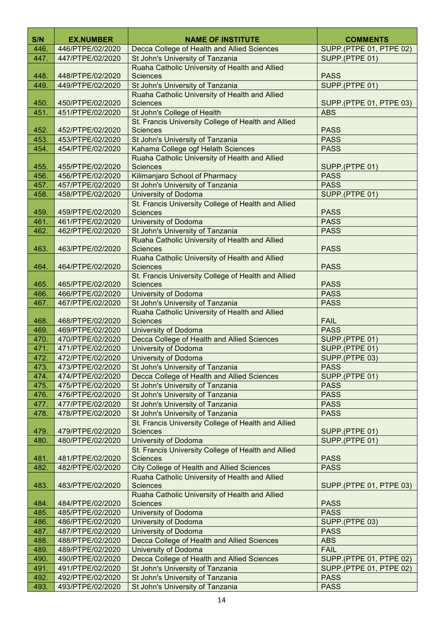| S/N          | <b>EX.NUMBER</b>                     | <b>NAME OF INSTITUTE</b>                                                                            | <b>COMMENTS</b>               |  |
|--------------|--------------------------------------|-----------------------------------------------------------------------------------------------------|-------------------------------|--|
| 446.         | 446/PTPE/02/2020                     | Decca College of Health and Allied Sciences                                                         | SUPP.(PTPE 01, PTPE 02)       |  |
| 447.         | 447/PTPE/02/2020                     | St John's University of Tanzania                                                                    | SUPP.(PTPE 01)                |  |
|              |                                      | Ruaha Catholic University of Health and Allied                                                      |                               |  |
| 448.         | 448/PTPE/02/2020                     | <b>Sciences</b>                                                                                     | <b>PASS</b>                   |  |
| 449.         | 449/PTPE/02/2020                     | St John's University of Tanzania                                                                    | SUPP.(PTPE 01)                |  |
|              |                                      | Ruaha Catholic University of Health and Allied                                                      |                               |  |
| 450.         | 450/PTPE/02/2020                     | <b>Sciences</b>                                                                                     | SUPP.(PTPE 01, PTPE 03)       |  |
| 451.         | 451/PTPE/02/2020                     | St John's College of Health                                                                         | <b>ABS</b>                    |  |
|              |                                      | St. Francis University College of Health and Allied                                                 |                               |  |
| 452.         | 452/PTPE/02/2020                     | <b>Sciences</b>                                                                                     | <b>PASS</b>                   |  |
| 453.         | 453/PTPE/02/2020                     | St John's University of Tanzania<br>Kahama College ogf Helath Sciences                              | <b>PASS</b><br><b>PASS</b>    |  |
| 454.         | 454/PTPE/02/2020                     | Ruaha Catholic University of Health and Allied                                                      |                               |  |
| 455.         | 455/PTPE/02/2020                     | <b>Sciences</b>                                                                                     | SUPP.(PTPE 01)                |  |
| 456.         | 456/PTPE/02/2020                     | Kilimanjaro School of Pharmacy                                                                      | <b>PASS</b>                   |  |
| 457.         | 457/PTPE/02/2020                     | St John's University of Tanzania                                                                    | <b>PASS</b>                   |  |
| 458.         | 458/PTPE/02/2020                     | <b>University of Dodoma</b>                                                                         | SUPP.(PTPE 01)                |  |
|              |                                      | St. Francis University College of Health and Allied                                                 |                               |  |
| 459.         | 459/PTPE/02/2020                     | <b>Sciences</b>                                                                                     | <b>PASS</b>                   |  |
| 461.         | 461/PTPE/02/2020                     | University of Dodoma                                                                                | <b>PASS</b>                   |  |
| 462.         | 462/PTPE/02/2020                     | St John's University of Tanzania                                                                    | <b>PASS</b>                   |  |
|              |                                      | Ruaha Catholic University of Health and Allied                                                      |                               |  |
| 463.         | 463/PTPE/02/2020                     | <b>Sciences</b>                                                                                     | <b>PASS</b>                   |  |
| 464.         | 464/PTPE/02/2020                     | Ruaha Catholic University of Health and Allied<br><b>Sciences</b>                                   | <b>PASS</b>                   |  |
|              |                                      | St. Francis University College of Health and Allied                                                 |                               |  |
| 465.         | 465/PTPE/02/2020                     | <b>Sciences</b>                                                                                     | <b>PASS</b>                   |  |
| 466.         | 466/PTPE/02/2020                     | <b>University of Dodoma</b>                                                                         | <b>PASS</b>                   |  |
| 467.         | 467/PTPE/02/2020                     | St John's University of Tanzania                                                                    | <b>PASS</b>                   |  |
|              |                                      | Ruaha Catholic University of Health and Allied                                                      |                               |  |
| 468.         | 468/PTPE/02/2020                     | <b>Sciences</b>                                                                                     | <b>FAIL</b>                   |  |
| 469.         | 469/PTPE/02/2020                     | <b>University of Dodoma</b>                                                                         | <b>PASS</b>                   |  |
| 470.         | 470/PTPE/02/2020                     | Decca College of Health and Allied Sciences                                                         | SUPP.(PTPE 01)                |  |
| 471.         | 471/PTPE/02/2020                     | <b>University of Dodoma</b>                                                                         | SUPP.(PTPE 01)                |  |
| 472.<br>473. | 472/PTPE/02/2020<br>473/PTPE/02/2020 | University of Dodoma<br>St John's University of Tanzania                                            | SUPP.(PTPE 03)<br><b>PASS</b> |  |
| 474.         | 474/PTPE/02/2020                     | Decca College of Health and Allied Sciences                                                         | SUPP.(PTPE 01)                |  |
| 475.         | 475/PTPE/02/2020                     | St John's University of Tanzania                                                                    | <b>PASS</b>                   |  |
| 476.         | 476/PTPE/02/2020                     | St John's University of Tanzania                                                                    | <b>PASS</b>                   |  |
| 477.         | 477/PTPE/02/2020                     | St John's University of Tanzania                                                                    | <b>PASS</b>                   |  |
| 478.         | 478/PTPE/02/2020                     | St John's University of Tanzania                                                                    | <b>PASS</b>                   |  |
|              |                                      | St. Francis University College of Health and Allied                                                 |                               |  |
| 479.         | 479/PTPE/02/2020                     | <b>Sciences</b>                                                                                     | SUPP.(PTPE 01)                |  |
| 480.         | 480/PTPE/02/2020                     | University of Dodoma                                                                                | SUPP.(PTPE 01)                |  |
|              |                                      | St. Francis University College of Health and Allied                                                 |                               |  |
| 481.         | 481/PTPE/02/2020                     | <b>Sciences</b>                                                                                     | <b>PASS</b>                   |  |
| 482.         | 482/PTPE/02/2020                     | <b>City College of Health and Allied Sciences</b><br>Ruaha Catholic University of Health and Allied | <b>PASS</b>                   |  |
| 483.         | 483/PTPE/02/2020                     | <b>Sciences</b>                                                                                     | SUPP.(PTPE 01, PTPE 03)       |  |
|              |                                      | Ruaha Catholic University of Health and Allied                                                      |                               |  |
| 484.         | 484/PTPE/02/2020                     | <b>Sciences</b>                                                                                     | <b>PASS</b>                   |  |
| 485.         | 485/PTPE/02/2020                     | <b>University of Dodoma</b>                                                                         | <b>PASS</b>                   |  |
| 486.         | 486/PTPE/02/2020                     | University of Dodoma                                                                                | SUPP.(PTPE 03)                |  |
| 487.         | 487/PTPE/02/2020                     | <b>University of Dodoma</b>                                                                         | <b>PASS</b>                   |  |
| 488.         | 488/PTPE/02/2020                     | Decca College of Health and Allied Sciences                                                         | <b>ABS</b>                    |  |
| 489.         | 489/PTPE/02/2020                     | <b>University of Dodoma</b>                                                                         | <b>FAIL</b>                   |  |
| 490.         | 490/PTPE/02/2020                     | Decca College of Health and Allied Sciences                                                         | SUPP.(PTPE 01, PTPE 02)       |  |
| 491.         | 491/PTPE/02/2020                     | St John's University of Tanzania                                                                    | SUPP.(PTPE 01, PTPE 02)       |  |
| 492.<br>493. | 492/PTPE/02/2020<br>493/PTPE/02/2020 | St John's University of Tanzania<br>St John's University of Tanzania                                | <b>PASS</b><br><b>PASS</b>    |  |
|              |                                      |                                                                                                     |                               |  |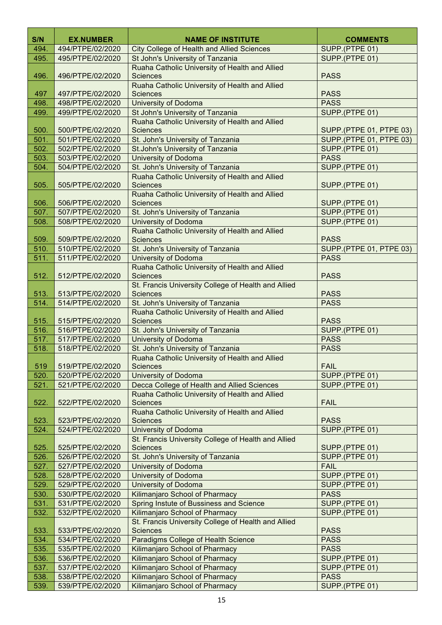| S/N          | <b>EX.NUMBER</b>                     | <b>NAME OF INSTITUTE</b>                                         | <b>COMMENTS</b>            |
|--------------|--------------------------------------|------------------------------------------------------------------|----------------------------|
| 494.         | 494/PTPE/02/2020                     | <b>City College of Health and Allied Sciences</b>                | SUPP.(PTPE 01)             |
| 495.         | 495/PTPE/02/2020                     | St John's University of Tanzania                                 | SUPP.(PTPE 01)             |
|              |                                      | Ruaha Catholic University of Health and Allied                   |                            |
| 496.         | 496/PTPE/02/2020                     | <b>Sciences</b>                                                  | <b>PASS</b>                |
|              |                                      | Ruaha Catholic University of Health and Allied                   |                            |
| 497          | 497/PTPE/02/2020                     | <b>Sciences</b>                                                  | <b>PASS</b>                |
| 498.         | 498/PTPE/02/2020                     | <b>University of Dodoma</b>                                      | <b>PASS</b>                |
| 499.         | 499/PTPE/02/2020                     | St John's University of Tanzania                                 | SUPP.(PTPE 01)             |
|              |                                      | Ruaha Catholic University of Health and Allied                   |                            |
| 500.         | 500/PTPE/02/2020                     | <b>Sciences</b>                                                  | SUPP.(PTPE 01, PTPE 03)    |
| 501.         | 501/PTPE/02/2020                     | St. John's University of Tanzania                                | SUPP.(PTPE 01, PTPE 03)    |
| 502.         | 502/PTPE/02/2020                     | St.John's University of Tanzania                                 | SUPP.(PTPE 01)             |
| 503.         | 503/PTPE/02/2020                     | <b>University of Dodoma</b>                                      | <b>PASS</b>                |
| 504.         | 504/PTPE/02/2020                     | St. John's University of Tanzania                                | SUPP.(PTPE 01)             |
|              |                                      | Ruaha Catholic University of Health and Allied                   |                            |
| 505.         | 505/PTPE/02/2020                     | <b>Sciences</b>                                                  | SUPP.(PTPE 01)             |
|              |                                      | Ruaha Catholic University of Health and Allied                   |                            |
| 506.         | 506/PTPE/02/2020                     | <b>Sciences</b>                                                  | SUPP.(PTPE 01)             |
| 507.         | 507/PTPE/02/2020                     | St. John's University of Tanzania                                | SUPP.(PTPE 01)             |
| 508.         | 508/PTPE/02/2020                     | <b>University of Dodoma</b>                                      | SUPP.(PTPE 01)             |
|              |                                      | Ruaha Catholic University of Health and Allied                   |                            |
| 509.         | 509/PTPE/02/2020                     | <b>Sciences</b>                                                  | <b>PASS</b>                |
| 510.         | 510/PTPE/02/2020                     | St. John's University of Tanzania                                | SUPP.(PTPE 01, PTPE 03)    |
| 511.         | 511/PTPE/02/2020                     | <b>University of Dodoma</b>                                      | <b>PASS</b>                |
|              |                                      | Ruaha Catholic University of Health and Allied                   |                            |
| 512.         | 512/PTPE/02/2020                     | <b>Sciences</b>                                                  | <b>PASS</b>                |
|              |                                      | St. Francis University College of Health and Allied              |                            |
| 513.         | 513/PTPE/02/2020                     | <b>Sciences</b>                                                  | <b>PASS</b>                |
| 514.         | 514/PTPE/02/2020                     | St. John's University of Tanzania                                | <b>PASS</b>                |
|              |                                      | Ruaha Catholic University of Health and Allied                   |                            |
| 515.         | 515/PTPE/02/2020                     | <b>Sciences</b>                                                  | <b>PASS</b>                |
| 516.         | 516/PTPE/02/2020                     | St. John's University of Tanzania                                | SUPP.(PTPE 01)             |
| 517.<br>518. | 517/PTPE/02/2020<br>518/PTPE/02/2020 | <b>University of Dodoma</b><br>St. John's University of Tanzania | <b>PASS</b><br><b>PASS</b> |
|              |                                      | Ruaha Catholic University of Health and Allied                   |                            |
| 519          | 519/PTPE/02/2020                     | <b>Sciences</b>                                                  | <b>FAIL</b>                |
| 520.         | 520/PTPE/02/2020                     | University of Dodoma                                             | SUPP.(PTPE 01)             |
| 521.         | 521/PTPE/02/2020                     | Decca College of Health and Allied Sciences                      | SUPP.(PTPE 01)             |
|              |                                      | Ruaha Catholic University of Health and Allied                   |                            |
| 522.         | 522/PTPE/02/2020                     | <b>Sciences</b>                                                  | <b>FAIL</b>                |
|              |                                      | Ruaha Catholic University of Health and Allied                   |                            |
| 523.         | 523/PTPE/02/2020                     | <b>Sciences</b>                                                  | <b>PASS</b>                |
| 524.         | 524/PTPE/02/2020                     | <b>University of Dodoma</b>                                      | SUPP.(PTPE 01)             |
|              |                                      | St. Francis University College of Health and Allied              |                            |
| 525.         | 525/PTPE/02/2020                     | <b>Sciences</b>                                                  | SUPP.(PTPE 01)             |
| 526.         | 526/PTPE/02/2020                     | St. John's University of Tanzania                                | SUPP.(PTPE 01)             |
| 527.         | 527/PTPE/02/2020                     | University of Dodoma                                             | <b>FAIL</b>                |
| 528.         | 528/PTPE/02/2020                     | <b>University of Dodoma</b>                                      | SUPP.(PTPE 01)             |
| 529.         | 529/PTPE/02/2020                     | University of Dodoma                                             | SUPP.(PTPE 01)             |
| 530.         | 530/PTPE/02/2020                     | Kilimanjaro School of Pharmacy                                   | <b>PASS</b>                |
| 531.         | 531/PTPE/02/2020                     | Spring Instute of Bussiness and Science                          | SUPP.(PTPE 01)             |
| 532.         | 532/PTPE/02/2020                     | Kilimanjaro School of Pharmacy                                   | SUPP.(PTPE 01)             |
|              |                                      | St. Francis University College of Health and Allied              |                            |
| 533.         | 533/PTPE/02/2020                     | <b>Sciences</b>                                                  | <b>PASS</b>                |
| 534.         | 534/PTPE/02/2020                     | Paradigms College of Health Science                              | <b>PASS</b>                |
| 535.         | 535/PTPE/02/2020                     | Kilimanjaro School of Pharmacy                                   | <b>PASS</b>                |
| 536.         | 536/PTPE/02/2020                     | Kilimanjaro School of Pharmacy                                   | SUPP.(PTPE 01)             |
| 537.         | 537/PTPE/02/2020                     | Kilimanjaro School of Pharmacy                                   | SUPP.(PTPE 01)             |
| 538.         | 538/PTPE/02/2020                     | Kilimanjaro School of Pharmacy                                   | <b>PASS</b>                |
| 539.         | 539/PTPE/02/2020                     | Kilimanjaro School of Pharmacy                                   | SUPP.(PTPE 01)             |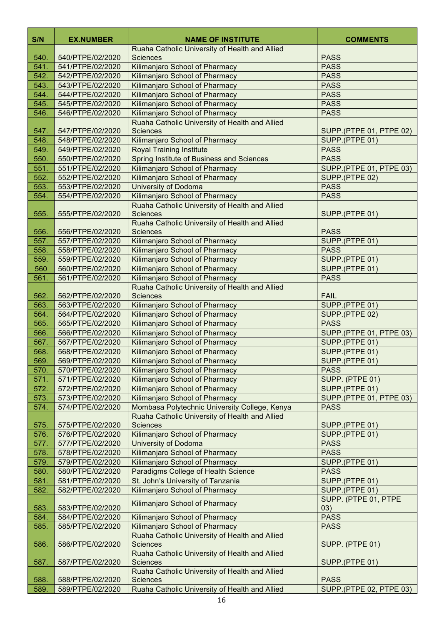| S/N          | <b>EX.NUMBER</b> | <b>NAME OF INSTITUTE</b>                                          | <b>COMMENTS</b>                  |
|--------------|------------------|-------------------------------------------------------------------|----------------------------------|
|              |                  | Ruaha Catholic University of Health and Allied                    |                                  |
| 540.         | 540/PTPE/02/2020 | <b>Sciences</b>                                                   | <b>PASS</b>                      |
| 541.         | 541/PTPE/02/2020 | Kilimanjaro School of Pharmacy                                    | <b>PASS</b>                      |
| 542.         | 542/PTPE/02/2020 | Kilimanjaro School of Pharmacy                                    | <b>PASS</b>                      |
| 543.         | 543/PTPE/02/2020 | Kilimanjaro School of Pharmacy                                    | <b>PASS</b>                      |
| 544.         | 544/PTPE/02/2020 | Kilimanjaro School of Pharmacy                                    | <b>PASS</b>                      |
| 545.         | 545/PTPE/02/2020 | Kilimanjaro School of Pharmacy                                    | <b>PASS</b>                      |
| 546.         | 546/PTPE/02/2020 | Kilimanjaro School of Pharmacy                                    | <b>PASS</b>                      |
| 547.         | 547/PTPE/02/2020 | Ruaha Catholic University of Health and Allied<br><b>Sciences</b> | SUPP.(PTPE 01, PTPE 02)          |
| 548.         | 548/PTPE/02/2020 | Kilimanjaro School of Pharmacy                                    | SUPP.(PTPE 01)                   |
| 549.         | 549/PTPE/02/2020 | <b>Royal Training Institute</b>                                   | <b>PASS</b>                      |
| 550.         | 550/PTPE/02/2020 | Spring Institute of Business and Sciences                         | <b>PASS</b>                      |
| 551.         | 551/PTPE/02/2020 | Kilimanjaro School of Pharmacy                                    | SUPP.(PTPE 01, PTPE 03)          |
| 552.         | 552/PTPE/02/2020 | Kilimanjaro School of Pharmacy                                    | SUPP.(PTPE 02)                   |
| 553.         | 553/PTPE/02/2020 | University of Dodoma                                              | <b>PASS</b>                      |
| 554.         | 554/PTPE/02/2020 | Kilimanjaro School of Pharmacy                                    | <b>PASS</b>                      |
|              |                  | Ruaha Catholic University of Health and Allied                    |                                  |
| 555.         | 555/PTPE/02/2020 | <b>Sciences</b>                                                   | SUPP.(PTPE 01)                   |
|              |                  | Ruaha Catholic University of Health and Allied                    |                                  |
| 556.         | 556/PTPE/02/2020 | <b>Sciences</b>                                                   | <b>PASS</b>                      |
| 557.         | 557/PTPE/02/2020 | Kilimanjaro School of Pharmacy                                    | SUPP.(PTPE 01)                   |
| 558.         | 558/PTPE/02/2020 | Kilimanjaro School of Pharmacy                                    | <b>PASS</b>                      |
| 559.         | 559/PTPE/02/2020 | Kilimanjaro School of Pharmacy                                    | SUPP.(PTPE 01)                   |
| 560          | 560/PTPE/02/2020 | Kilimanjaro School of Pharmacy                                    | SUPP.(PTPE 01)                   |
| 561.         | 561/PTPE/02/2020 | Kilimanjaro School of Pharmacy                                    | <b>PASS</b>                      |
| 562.         | 562/PTPE/02/2020 | Ruaha Catholic University of Health and Allied<br><b>Sciences</b> | <b>FAIL</b>                      |
| 563.         | 563/PTPE/02/2020 | Kilimanjaro School of Pharmacy                                    | SUPP.(PTPE 01)                   |
| 564.         | 564/PTPE/02/2020 | Kilimanjaro School of Pharmacy                                    | SUPP.(PTPE 02)                   |
| 565.         | 565/PTPE/02/2020 | Kilimanjaro School of Pharmacy                                    | <b>PASS</b>                      |
| 566.         | 566/PTPE/02/2020 | Kilimanjaro School of Pharmacy                                    | SUPP.(PTPE 01, PTPE 03)          |
| 567.         | 567/PTPE/02/2020 | Kilimanjaro School of Pharmacy                                    | SUPP.(PTPE 01)                   |
| 568.         | 568/PTPE/02/2020 | Kilimanjaro School of Pharmacy                                    | SUPP.(PTPE 01)                   |
| 569.         | 569/PTPE/02/2020 | Kilimanjaro School of Pharmacy                                    | SUPP.(PTPE 01)                   |
| 570.         | 570/PTPE/02/2020 | Kilimanjaro School of Pharmacy                                    | <b>PASS</b>                      |
| 571.         | 571/PTPE/02/2020 | Kilimanjaro School of Pharmacy                                    | SUPP. (PTPE 01)                  |
| 572.         | 572/PTPE/02/2020 | Kilimanjaro School of Pharmacy                                    | SUPP.(PTPE 01)                   |
| 573.         | 573/PTPE/02/2020 | Kilimanjaro School of Pharmacy                                    | SUPP.(PTPE 01, PTPE 03)          |
| 574.         | 574/PTPE/02/2020 | Mombasa Polytechnic University College, Kenya                     | <b>PASS</b>                      |
|              | 575/PTPE/02/2020 | Ruaha Catholic University of Health and Allied<br><b>Sciences</b> |                                  |
| 575.<br>576. | 576/PTPE/02/2020 | Kilimanjaro School of Pharmacy                                    | SUPP.(PTPE 01)<br>SUPP.(PTPE 01) |
| 577.         | 577/PTPE/02/2020 | <b>University of Dodoma</b>                                       | <b>PASS</b>                      |
| 578.         | 578/PTPE/02/2020 | Kilimanjaro School of Pharmacy                                    | <b>PASS</b>                      |
| 579.         | 579/PTPE/02/2020 | Kilimanjaro School of Pharmacy                                    | SUPP.(PTPE 01)                   |
| 580.         | 580/PTPE/02/2020 | Paradigms College of Health Science                               | <b>PASS</b>                      |
| 581.         | 581/PTPE/02/2020 | St. John's University of Tanzania                                 | SUPP.(PTPE 01)                   |
| 582.         | 582/PTPE/02/2020 | Kilimanjaro School of Pharmacy                                    | SUPP.(PTPE 01)                   |
|              |                  | Kilimanjaro School of Pharmacy                                    | SUPP. (PTPE 01, PTPE             |
| 583.         | 583/PTPE/02/2020 |                                                                   | 03)                              |
| 584.         | 584/PTPE/02/2020 | Kilimanjaro School of Pharmacy                                    | <b>PASS</b>                      |
| 585.         | 585/PTPE/02/2020 | Kilimanjaro School of Pharmacy                                    | <b>PASS</b>                      |
| 586.         | 586/PTPE/02/2020 | Ruaha Catholic University of Health and Allied<br><b>Sciences</b> | SUPP. (PTPE 01)                  |
|              |                  | Ruaha Catholic University of Health and Allied                    |                                  |
| 587.         | 587/PTPE/02/2020 | <b>Sciences</b>                                                   | SUPP.(PTPE 01)                   |
| 588.         | 588/PTPE/02/2020 | Ruaha Catholic University of Health and Allied<br><b>Sciences</b> | <b>PASS</b>                      |
| 589.         | 589/PTPE/02/2020 | Ruaha Catholic University of Health and Allied                    | <b>SUPP.(PTPE 02, PTPE 03)</b>   |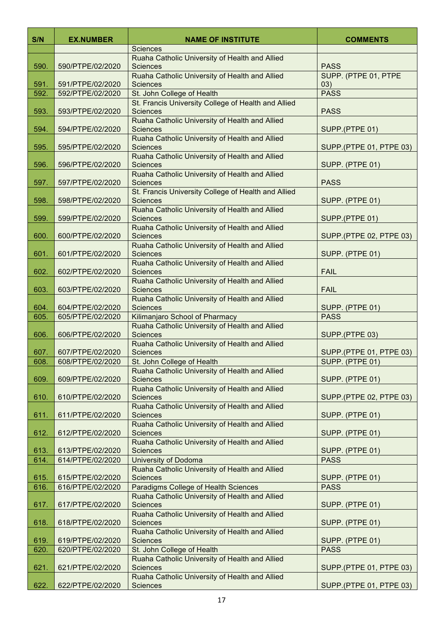| S/N  | <b>EX.NUMBER</b> | <b>NAME OF INSTITUTE</b>                                                                                            | <b>COMMENTS</b>                |
|------|------------------|---------------------------------------------------------------------------------------------------------------------|--------------------------------|
|      |                  | <b>Sciences</b>                                                                                                     |                                |
| 590. | 590/PTPE/02/2020 | Ruaha Catholic University of Health and Allied<br><b>Sciences</b>                                                   | <b>PASS</b>                    |
| 591. | 591/PTPE/02/2020 | Ruaha Catholic University of Health and Allied<br><b>Sciences</b>                                                   | SUPP. (PTPE 01, PTPE<br>03)    |
| 592. | 592/PTPE/02/2020 | St. John College of Health                                                                                          | <b>PASS</b>                    |
| 593. | 593/PTPE/02/2020 | St. Francis University College of Health and Allied<br><b>Sciences</b>                                              | <b>PASS</b>                    |
| 594. | 594/PTPE/02/2020 | Ruaha Catholic University of Health and Allied<br><b>Sciences</b>                                                   | SUPP.(PTPE 01)                 |
| 595. | 595/PTPE/02/2020 | Ruaha Catholic University of Health and Allied<br><b>Sciences</b>                                                   | SUPP.(PTPE 01, PTPE 03)        |
| 596. | 596/PTPE/02/2020 | Ruaha Catholic University of Health and Allied<br><b>Sciences</b>                                                   | SUPP. (PTPE 01)                |
| 597. | 597/PTPE/02/2020 | Ruaha Catholic University of Health and Allied<br><b>Sciences</b>                                                   | <b>PASS</b>                    |
| 598. | 598/PTPE/02/2020 | St. Francis University College of Health and Allied<br><b>Sciences</b>                                              | SUPP. (PTPE 01)                |
| 599. | 599/PTPE/02/2020 | Ruaha Catholic University of Health and Allied<br><b>Sciences</b>                                                   | SUPP.(PTPE 01)                 |
| 600. | 600/PTPE/02/2020 | Ruaha Catholic University of Health and Allied<br><b>Sciences</b>                                                   | SUPP.(PTPE 02, PTPE 03)        |
| 601. | 601/PTPE/02/2020 | Ruaha Catholic University of Health and Allied<br><b>Sciences</b>                                                   | SUPP. (PTPE 01)                |
| 602. | 602/PTPE/02/2020 | Ruaha Catholic University of Health and Allied<br><b>Sciences</b>                                                   | <b>FAIL</b>                    |
| 603. | 603/PTPE/02/2020 | Ruaha Catholic University of Health and Allied<br><b>Sciences</b>                                                   | <b>FAIL</b>                    |
| 604. | 604/PTPE/02/2020 | Ruaha Catholic University of Health and Allied<br><b>Sciences</b>                                                   | SUPP. (PTPE 01)                |
| 605. | 605/PTPE/02/2020 | Kilimanjaro School of Pharmacy                                                                                      | <b>PASS</b>                    |
| 606. | 606/PTPE/02/2020 | Ruaha Catholic University of Health and Allied<br><b>Sciences</b>                                                   | SUPP.(PTPE 03)                 |
| 607. | 607/PTPE/02/2020 | Ruaha Catholic University of Health and Allied<br><b>Sciences</b>                                                   | SUPP.(PTPE 01, PTPE 03)        |
| 608. | 608/PTPE/02/2020 | St. John College of Health                                                                                          | SUPP. (PTPE 01)                |
| 609. | 609/PTPE/02/2020 | Ruaha Catholic University of Health and Allied<br><b>Sciences</b>                                                   | SUPP. (PTPE 01)                |
| 610. | 610/PTPE/02/2020 | Ruaha Catholic University of Health and Allied<br><b>Sciences</b>                                                   | SUPP.(PTPE 02, PTPE 03)        |
| 611. | 611/PTPE/02/2020 | Ruaha Catholic University of Health and Allied<br><b>Sciences</b>                                                   | SUPP. (PTPE 01)                |
| 612. | 612/PTPE/02/2020 | Ruaha Catholic University of Health and Allied<br><b>Sciences</b>                                                   | SUPP. (PTPE 01)                |
| 613. | 613/PTPE/02/2020 | Ruaha Catholic University of Health and Allied<br><b>Sciences</b>                                                   | SUPP. (PTPE 01)                |
| 614. | 614/PTPE/02/2020 | <b>University of Dodoma</b>                                                                                         | <b>PASS</b>                    |
|      |                  | Ruaha Catholic University of Health and Allied                                                                      |                                |
| 615. | 615/PTPE/02/2020 | <b>Sciences</b>                                                                                                     | SUPP. (PTPE 01)<br><b>PASS</b> |
| 616. | 616/PTPE/02/2020 | Paradigms College of Health Sciences<br>Ruaha Catholic University of Health and Allied                              |                                |
| 617. | 617/PTPE/02/2020 | <b>Sciences</b>                                                                                                     | SUPP. (PTPE 01)                |
| 618. | 618/PTPE/02/2020 | Ruaha Catholic University of Health and Allied<br><b>Sciences</b>                                                   | SUPP. (PTPE 01)                |
| 619. | 619/PTPE/02/2020 | Ruaha Catholic University of Health and Allied<br><b>Sciences</b>                                                   | SUPP. (PTPE 01)                |
| 620. | 620/PTPE/02/2020 | St. John College of Health                                                                                          | <b>PASS</b>                    |
| 621. | 621/PTPE/02/2020 | Ruaha Catholic University of Health and Allied<br><b>Sciences</b><br>Ruaha Catholic University of Health and Allied | <b>SUPP.(PTPE 01, PTPE 03)</b> |
| 622. | 622/PTPE/02/2020 | <b>Sciences</b>                                                                                                     | SUPP.(PTPE 01, PTPE 03)        |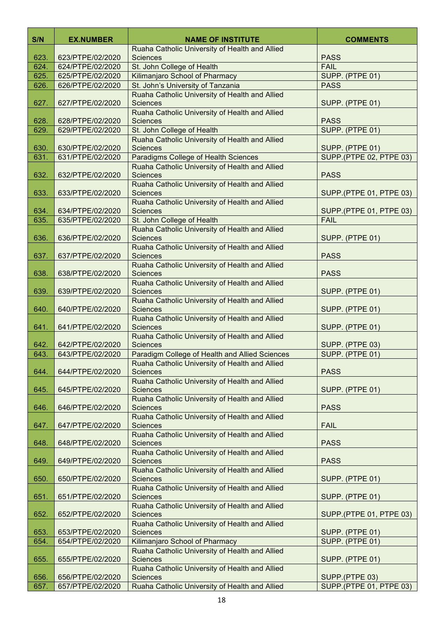| S/N          | <b>EX.NUMBER</b>                     | <b>NAME OF INSTITUTE</b>                                                               | <b>COMMENTS</b>                           |
|--------------|--------------------------------------|----------------------------------------------------------------------------------------|-------------------------------------------|
|              |                                      | Ruaha Catholic University of Health and Allied                                         |                                           |
| 623.         | 623/PTPE/02/2020                     | <b>Sciences</b>                                                                        | <b>PASS</b>                               |
| 624.         | 624/PTPE/02/2020                     | St. John College of Health                                                             | <b>FAIL</b>                               |
| 625.<br>626. | 625/PTPE/02/2020<br>626/PTPE/02/2020 | Kilimanjaro School of Pharmacy<br>St. John's University of Tanzania                    | SUPP. (PTPE 01)<br><b>PASS</b>            |
|              |                                      | Ruaha Catholic University of Health and Allied                                         |                                           |
| 627.         | 627/PTPE/02/2020                     | <b>Sciences</b>                                                                        | SUPP. (PTPE 01)                           |
|              |                                      | Ruaha Catholic University of Health and Allied                                         |                                           |
| 628.         | 628/PTPE/02/2020                     | <b>Sciences</b>                                                                        | <b>PASS</b>                               |
| 629.         | 629/PTPE/02/2020                     | St. John College of Health                                                             | SUPP. (PTPE 01)                           |
|              |                                      | Ruaha Catholic University of Health and Allied                                         |                                           |
| 630.         | 630/PTPE/02/2020                     | <b>Sciences</b>                                                                        | SUPP. (PTPE 01)                           |
| 631.         | 631/PTPE/02/2020                     | Paradigms College of Health Sciences<br>Ruaha Catholic University of Health and Allied | <b>SUPP.</b> (PTPE 02, PTPE 03)           |
| 632.         | 632/PTPE/02/2020                     | <b>Sciences</b>                                                                        | <b>PASS</b>                               |
|              |                                      | Ruaha Catholic University of Health and Allied                                         |                                           |
| 633.         | 633/PTPE/02/2020                     | <b>Sciences</b>                                                                        | SUPP.(PTPE 01, PTPE 03)                   |
|              |                                      | Ruaha Catholic University of Health and Allied                                         |                                           |
| 634.         | 634/PTPE/02/2020                     | <b>Sciences</b>                                                                        | SUPP.(PTPE 01, PTPE 03)                   |
| 635.         | 635/PTPE/02/2020                     | St. John College of Health                                                             | <b>FAIL</b>                               |
|              |                                      | Ruaha Catholic University of Health and Allied                                         |                                           |
| 636.         | 636/PTPE/02/2020                     | <b>Sciences</b><br>Ruaha Catholic University of Health and Allied                      | SUPP. (PTPE 01)                           |
| 637.         | 637/PTPE/02/2020                     | <b>Sciences</b>                                                                        | <b>PASS</b>                               |
|              |                                      | Ruaha Catholic University of Health and Allied                                         |                                           |
| 638.         | 638/PTPE/02/2020                     | <b>Sciences</b>                                                                        | <b>PASS</b>                               |
|              |                                      | Ruaha Catholic University of Health and Allied                                         |                                           |
| 639.         | 639/PTPE/02/2020                     | <b>Sciences</b>                                                                        | SUPP. (PTPE 01)                           |
| 640.         | 640/PTPE/02/2020                     | Ruaha Catholic University of Health and Allied                                         |                                           |
|              |                                      | <b>Sciences</b><br>Ruaha Catholic University of Health and Allied                      | SUPP. (PTPE 01)                           |
| 641.         | 641/PTPE/02/2020                     | <b>Sciences</b>                                                                        | SUPP. (PTPE 01)                           |
|              |                                      | Ruaha Catholic University of Health and Allied                                         |                                           |
| 642.         | 642/PTPE/02/2020                     | <b>Sciences</b>                                                                        | SUPP. (PTPE 03)                           |
| 643.         | 643/PTPE/02/2020                     | Paradigm College of Health and Allied Sciences                                         | SUPP. (PTPE 01)                           |
|              |                                      | Ruaha Catholic University of Health and Allied                                         |                                           |
| 644.         | 644/PTPE/02/2020                     | <b>Sciences</b><br>Ruaha Catholic University of Health and Allied                      | <b>PASS</b>                               |
| 645.         | 645/PTPE/02/2020                     | <b>Sciences</b>                                                                        | SUPP. (PTPE 01)                           |
|              |                                      | Ruaha Catholic University of Health and Allied                                         |                                           |
| 646.         | 646/PTPE/02/2020                     | <b>Sciences</b>                                                                        | <b>PASS</b>                               |
|              |                                      | Ruaha Catholic University of Health and Allied                                         |                                           |
| 647.         | 647/PTPE/02/2020                     | <b>Sciences</b>                                                                        | <b>FAIL</b>                               |
|              |                                      | Ruaha Catholic University of Health and Allied                                         |                                           |
| 648.         | 648/PTPE/02/2020                     | <b>Sciences</b><br>Ruaha Catholic University of Health and Allied                      | <b>PASS</b>                               |
| 649.         | 649/PTPE/02/2020                     | <b>Sciences</b>                                                                        | <b>PASS</b>                               |
|              |                                      | Ruaha Catholic University of Health and Allied                                         |                                           |
| 650.         | 650/PTPE/02/2020                     | <b>Sciences</b>                                                                        | SUPP. (PTPE 01)                           |
|              |                                      | Ruaha Catholic University of Health and Allied                                         |                                           |
| 651.         | 651/PTPE/02/2020                     | <b>Sciences</b>                                                                        | SUPP. (PTPE 01)                           |
|              |                                      | Ruaha Catholic University of Health and Allied                                         |                                           |
| 652.         | 652/PTPE/02/2020                     | <b>Sciences</b><br>Ruaha Catholic University of Health and Allied                      | SUPP.(PTPE 01, PTPE 03)                   |
| 653.         | 653/PTPE/02/2020                     | <b>Sciences</b>                                                                        | SUPP. (PTPE 01)                           |
| 654.         | 654/PTPE/02/2020                     | Kilimanjaro School of Pharmacy                                                         | SUPP. (PTPE 01)                           |
|              |                                      | Ruaha Catholic University of Health and Allied                                         |                                           |
| 655.         | 655/PTPE/02/2020                     | <b>Sciences</b>                                                                        | SUPP. (PTPE 01)                           |
|              |                                      | Ruaha Catholic University of Health and Allied                                         |                                           |
| 656.         | 656/PTPE/02/2020                     | <b>Sciences</b>                                                                        | SUPP.(PTPE 03)<br>SUPP.(PTPE 01, PTPE 03) |
| 657.         | 657/PTPE/02/2020                     | Ruaha Catholic University of Health and Allied                                         |                                           |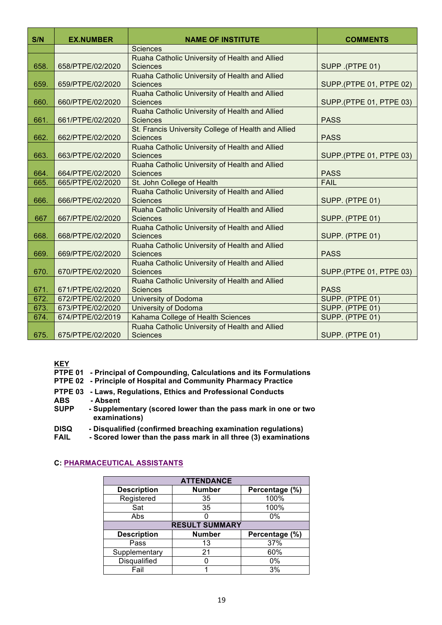| S/N  | <b>EX.NUMBER</b> | <b>NAME OF INSTITUTE</b>                                               | <b>COMMENTS</b>         |
|------|------------------|------------------------------------------------------------------------|-------------------------|
|      |                  | <b>Sciences</b>                                                        |                         |
| 658. | 658/PTPE/02/2020 | Ruaha Catholic University of Health and Allied<br><b>Sciences</b>      | SUPP .(PTPE 01)         |
| 659. | 659/PTPE/02/2020 | Ruaha Catholic University of Health and Allied<br><b>Sciences</b>      | SUPP.(PTPE 01, PTPE 02) |
| 660. | 660/PTPE/02/2020 | Ruaha Catholic University of Health and Allied<br><b>Sciences</b>      | SUPP.(PTPE 01, PTPE 03) |
| 661. | 661/PTPE/02/2020 | Ruaha Catholic University of Health and Allied<br><b>Sciences</b>      | <b>PASS</b>             |
| 662. | 662/PTPE/02/2020 | St. Francis University College of Health and Allied<br><b>Sciences</b> | <b>PASS</b>             |
| 663. | 663/PTPE/02/2020 | Ruaha Catholic University of Health and Allied<br><b>Sciences</b>      | SUPP.(PTPE 01, PTPE 03) |
| 664. | 664/PTPE/02/2020 | Ruaha Catholic University of Health and Allied<br><b>Sciences</b>      | <b>PASS</b>             |
| 665. | 665/PTPE/02/2020 | St. John College of Health                                             | <b>FAIL</b>             |
| 666. | 666/PTPE/02/2020 | Ruaha Catholic University of Health and Allied<br><b>Sciences</b>      | SUPP. (PTPE 01)         |
| 667  | 667/PTPE/02/2020 | Ruaha Catholic University of Health and Allied<br><b>Sciences</b>      | SUPP. (PTPE 01)         |
| 668. | 668/PTPE/02/2020 | Ruaha Catholic University of Health and Allied<br><b>Sciences</b>      | SUPP. (PTPE 01)         |
| 669. | 669/PTPE/02/2020 | Ruaha Catholic University of Health and Allied<br><b>Sciences</b>      | <b>PASS</b>             |
| 670. | 670/PTPE/02/2020 | Ruaha Catholic University of Health and Allied<br><b>Sciences</b>      | SUPP.(PTPE 01, PTPE 03) |
| 671. | 671/PTPE/02/2020 | Ruaha Catholic University of Health and Allied<br><b>Sciences</b>      | <b>PASS</b>             |
| 672. | 672/PTPE/02/2020 | <b>University of Dodoma</b>                                            | SUPP. (PTPE 01)         |
| 673. | 673/PTPE/02/2020 | <b>University of Dodoma</b>                                            | SUPP. (PTPE 01)         |
| 674. | 674/PTPE/02/2019 | Kahama College of Health Sciences                                      | SUPP. (PTPE 01)         |
| 675. | 675/PTPE/02/2020 | Ruaha Catholic University of Health and Allied<br><b>Sciences</b>      | SUPP. (PTPE 01)         |

**KEY**

| PTPE 01 - Principal of Compounding, Calculations and its Formulations |  |
|-----------------------------------------------------------------------|--|
|-----------------------------------------------------------------------|--|

- **PTPE 02 - Principle of Hospital and Community Pharmacy Practice**
- **PTPE 03 - Laws, Regulations, Ethics and Professional Conducts ABS - Absent**
- **SUPP - Supplementary (scored lower than the pass mark in one or two examinations)**
- **DISQ - Disqualified (confirmed breaching examination regulations)**
- **FAIL - Scored lower than the pass mark in all three (3) examinations**

### **C: PHARMACEUTICAL ASSISTANTS**

| <b>ATTENDANCE</b>   |                       |                |  |  |
|---------------------|-----------------------|----------------|--|--|
| <b>Description</b>  | <b>Number</b>         | Percentage (%) |  |  |
| Registered          | 35                    | 100%           |  |  |
| Sat                 | 35                    | 100%           |  |  |
| Abs                 |                       | 0%             |  |  |
|                     | <b>RESULT SUMMARY</b> |                |  |  |
| <b>Description</b>  | <b>Number</b>         | Percentage (%) |  |  |
| Pass                | 13                    | 37%            |  |  |
| Supplementary       | 21                    | 60%            |  |  |
| <b>Disqualified</b> |                       | $0\%$          |  |  |
| Fail                |                       | 3%             |  |  |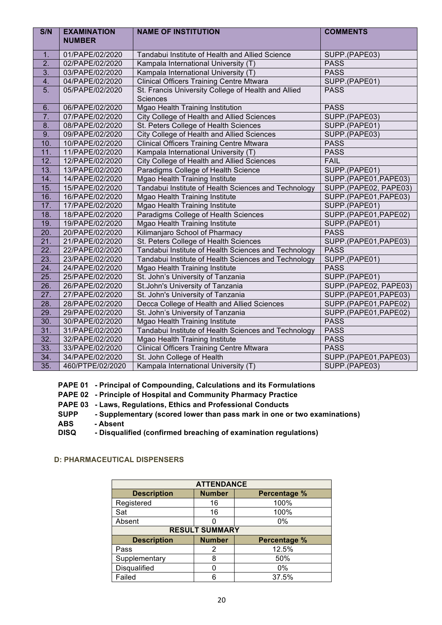| S/N               | <b>EXAMINATION</b><br><b>NUMBER</b> | <b>NAME OF INSTITUTION</b>                                      | <b>COMMENTS</b>       |
|-------------------|-------------------------------------|-----------------------------------------------------------------|-----------------------|
|                   |                                     |                                                                 |                       |
| 1.                | 01/PAPE/02/2020                     | Tandabui Institute of Health and Allied Science                 | SUPP.(PAPE03)         |
| 2.                | 02/PAPE/02/2020                     | Kampala International University (T)                            | <b>PASS</b>           |
| $\overline{3}$ .  | 03/PAPE/02/2020                     | Kampala International University (T)                            | <b>PASS</b>           |
| 4.                | 04/PAPE/02/2020                     | <b>Clinical Officers Training Centre Mtwara</b>                 | SUPP.(PAPE01)         |
| 5.                | 05/PAPE/02/2020                     | St. Francis University College of Health and Allied<br>Sciences | <b>PASS</b>           |
| 6.                | 06/PAPE/02/2020                     | Mgao Health Training Institution                                | <b>PASS</b>           |
| $\overline{7}$ .  | 07/PAPE/02/2020                     | <b>City College of Health and Allied Sciences</b>               | SUPP.(PAPE03)         |
| 8.                | 08/PAPE/02/2020                     | St. Peters College of Health Sciences                           | SUPP.(PAPE01)         |
| 9.                | 09/PAPE/02/2020                     | City College of Health and Allied Sciences                      | SUPP.(PAPE03)         |
| 10.               | 10/PAPE/02/2020                     | <b>Clinical Officers Training Centre Mtwara</b>                 | <b>PASS</b>           |
| 11.               | 11/PAPE/02/2020                     | Kampala International University (T)                            | <b>PASS</b>           |
| 12.               | 12/PAPE/02/2020                     | City College of Health and Allied Sciences                      | <b>FAIL</b>           |
| 13.               | 13/PAPE/02/2020                     | Paradigms College of Health Science                             | SUPP.(PAPE01)         |
| 14.               | 14/PAPE/02/2020                     | Mgao Health Training Institute                                  | SUPP.(PAPE01,PAPE03)  |
| 15.               | 15/PAPE/02/2020                     | Tandabui Institute of Health Sciences and Technology            | SUPP.(PAPE02, PAPE03) |
| 16.               | 16/PAPE/02/2020                     | Mgao Health Training Institute                                  | SUPP.(PAPE01,PAPE03)  |
| 17.               | 17/PAPE/02/2020                     | <b>Mgao Health Training Institute</b>                           | SUPP.(PAPE01)         |
| 18.               | 18/PAPE/02/2020                     | Paradigms College of Health Sciences                            | SUPP.(PAPE01,PAPE02)  |
| 19.               | 19/PAPE/02/2020                     | <b>Mgao Health Training Institute</b>                           | SUPP.(PAPE01)         |
| 20.               | 20/PAPE/02/2020                     | Kilimanjaro School of Pharmacy                                  | <b>PASS</b>           |
| 21.               | 21/PAPE/02/2020                     | St. Peters College of Health Sciences                           | SUPP.(PAPE01,PAPE03)  |
| $\overline{22}$ . | 22/PAPE/02/2020                     | Tandabui Institute of Health Sciences and Technology            | <b>PASS</b>           |
| 23.               | 23/PAPE/02/2020                     | Tandabui Institute of Health Sciences and Technology            | SUPP.(PAPE01)         |
| 24.               | 24/PAPE/02/2020                     | Mgao Health Training Institute                                  | <b>PASS</b>           |
| 25.               | 25/PAPE/02/2020                     | St. John's University of Tanzania                               | SUPP.(PAPE01)         |
| 26.               | 26/PAPE/02/2020                     | St.John's University of Tanzania                                | SUPP.(PAPE02, PAPE03) |
| 27.               | 27/PAPE/02/2020                     | St. John's University of Tanzania                               | SUPP.(PAPE01,PAPE03)  |
| 28.               | 28/PAPE/02/2020                     | Decca College of Health and Allied Sciences                     | SUPP.(PAPE01,PAPE02)  |
| 29.               | 29/PAPE/02/2020                     | St. John's University of Tanzania                               | SUPP.(PAPE01,PAPE02)  |
| 30.               | 30/PAPE/02/2020                     | <b>Mgao Health Training Institute</b>                           | <b>PASS</b>           |
| 31.               | 31/PAPE/02/2020                     | Tandabui Institute of Health Sciences and Technology            | <b>PASS</b>           |
| 32.               | 32/PAPE/02/2020                     | Mgao Health Training Institute                                  | <b>PASS</b>           |
| 33.               | 33/PAPE/02/2020                     | <b>Clinical Officers Training Centre Mtwara</b>                 | <b>PASS</b>           |
| 34.               | 34/PAPE/02/2020                     | St. John College of Health                                      | SUPP.(PAPE01,PAPE03)  |
| 35.               | 460/PTPE/02/2020                    | Kampala International University (T)                            | SUPP.(PAPE03)         |

### **PAPE 01 - Principal of Compounding, Calculations and its Formulations**

**PAPE 02 - Principle of Hospital and Community Pharmacy Practice** 

- **PAPE 03 - Laws, Regulations, Ethics and Professional Conducts**
- **SUPP - Supplementary (scored lower than pass mark in one or two examinations)**
- **ABS - Absent**
- **DISQ - Disqualified (confirmed breaching of examination regulations)**

## **D: PHARMACEUTICAL DISPENSERS**

| <b>ATTENDANCE</b>     |               |                     |  |  |  |  |
|-----------------------|---------------|---------------------|--|--|--|--|
| <b>Description</b>    | <b>Number</b> | <b>Percentage %</b> |  |  |  |  |
| Registered            | 16            | 100%                |  |  |  |  |
| Sat                   | 16            | 100%                |  |  |  |  |
| Absent                |               | $0\%$               |  |  |  |  |
| <b>RESULT SUMMARY</b> |               |                     |  |  |  |  |
| <b>Description</b>    | <b>Number</b> | Percentage %        |  |  |  |  |
| Pass                  | 2             | 12.5%               |  |  |  |  |
| Supplementary         | 8             | 50%                 |  |  |  |  |
| Disqualified          |               | $0\%$               |  |  |  |  |
| Failed                |               | 37.5%               |  |  |  |  |